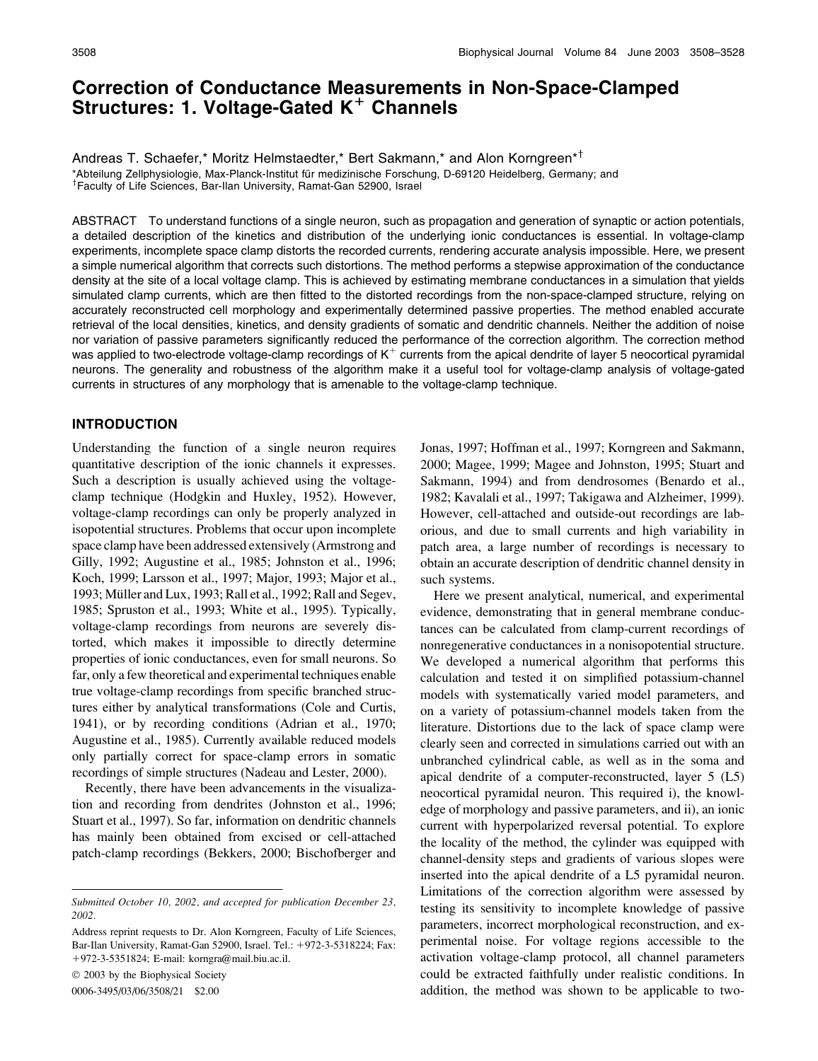# Correction of Conductance Measurements in Non-Space-Clamped Structures: 1. Voltage-Gated K*<sup>1</sup>* Channels

Andreas T. Schaefer,\* Moritz Helmstaedter,\* Bert Sakmann,\* and Alon Korngreen\*<sup>†</sup> \*Abteilung Zellphysiologie, Max-Planck-Institut für medizinische Forschung, D-69120 Heidelberg, Germany; and Faculty of Life Sciences, Bar-Ilan University, Ramat-Gan 52900, Israel

ABSTRACT To understand functions of a single neuron, such as propagation and generation of synaptic or action potentials, a detailed description of the kinetics and distribution of the underlying ionic conductances is essential. In voltage-clamp experiments, incomplete space clamp distorts the recorded currents, rendering accurate analysis impossible. Here, we present a simple numerical algorithm that corrects such distortions. The method performs a stepwise approximation of the conductance density at the site of a local voltage clamp. This is achieved by estimating membrane conductances in a simulation that yields simulated clamp currents, which are then fitted to the distorted recordings from the non-space-clamped structure, relying on accurately reconstructed cell morphology and experimentally determined passive properties. The method enabled accurate retrieval of the local densities, kinetics, and density gradients of somatic and dendritic channels. Neither the addition of noise nor variation of passive parameters significantly reduced the performance of the correction algorithm. The correction method was applied to two-electrode voltage-clamp recordings of  $K^+$  currents from the apical dendrite of layer 5 neocortical pyramidal neurons. The generality and robustness of the algorithm make it a useful tool for voltage-clamp analysis of voltage-gated currents in structures of any morphology that is amenable to the voltage-clamp technique.

## INTRODUCTION

Understanding the function of a single neuron requires quantitative description of the ionic channels it expresses. Such a description is usually achieved using the voltageclamp technique (Hodgkin and Huxley, 1952). However, voltage-clamp recordings can only be properly analyzed in isopotential structures. Problems that occur upon incomplete space clamp have been addressed extensively (Armstrong and Gilly, 1992; Augustine et al., 1985; Johnston et al., 1996; Koch, 1999; Larsson et al., 1997; Major, 1993; Major et al., 1993; Müller and Lux, 1993; Rall et al., 1992; Rall and Segev, 1985; Spruston et al., 1993; White et al., 1995). Typically, voltage-clamp recordings from neurons are severely distorted, which makes it impossible to directly determine properties of ionic conductances, even for small neurons. So far, only a few theoretical and experimental techniques enable true voltage-clamp recordings from specific branched structures either by analytical transformations (Cole and Curtis, 1941), or by recording conditions (Adrian et al., 1970; Augustine et al., 1985). Currently available reduced models only partially correct for space-clamp errors in somatic recordings of simple structures (Nadeau and Lester, 2000).

Recently, there have been advancements in the visualization and recording from dendrites (Johnston et al., 1996; Stuart et al., 1997). So far, information on dendritic channels has mainly been obtained from excised or cell-attached patch-clamp recordings (Bekkers, 2000; Bischofberger and

2003 by the Biophysical Society

0006-3495/03/06/3508/21 \$2.00

Jonas, 1997; Hoffman et al., 1997; Korngreen and Sakmann, 2000; Magee, 1999; Magee and Johnston, 1995; Stuart and Sakmann, 1994) and from dendrosomes (Benardo et al., 1982; Kavalali et al., 1997; Takigawa and Alzheimer, 1999). However, cell-attached and outside-out recordings are laborious, and due to small currents and high variability in patch area, a large number of recordings is necessary to obtain an accurate description of dendritic channel density in such systems.

Here we present analytical, numerical, and experimental evidence, demonstrating that in general membrane conductances can be calculated from clamp-current recordings of nonregenerative conductances in a nonisopotential structure. We developed a numerical algorithm that performs this calculation and tested it on simplified potassium-channel models with systematically varied model parameters, and on a variety of potassium-channel models taken from the literature. Distortions due to the lack of space clamp were clearly seen and corrected in simulations carried out with an unbranched cylindrical cable, as well as in the soma and apical dendrite of a computer-reconstructed, layer 5 (L5) neocortical pyramidal neuron. This required i), the knowledge of morphology and passive parameters, and ii), an ionic current with hyperpolarized reversal potential. To explore the locality of the method, the cylinder was equipped with channel-density steps and gradients of various slopes were inserted into the apical dendrite of a L5 pyramidal neuron. Limitations of the correction algorithm were assessed by testing its sensitivity to incomplete knowledge of passive parameters, incorrect morphological reconstruction, and experimental noise. For voltage regions accessible to the activation voltage-clamp protocol, all channel parameters could be extracted faithfully under realistic conditions. In addition, the method was shown to be applicable to two-

Submitted October 10, 2002, and accepted for publication December 23, 2002.

Address reprint requests to Dr. Alon Korngreen, Faculty of Life Sciences, Bar-Ilan University, Ramat-Gan 52900, Israel. Tel.: 1972-3-5318224; Fax: 1972-3-5351824; E-mail: korngra@mail.biu.ac.il.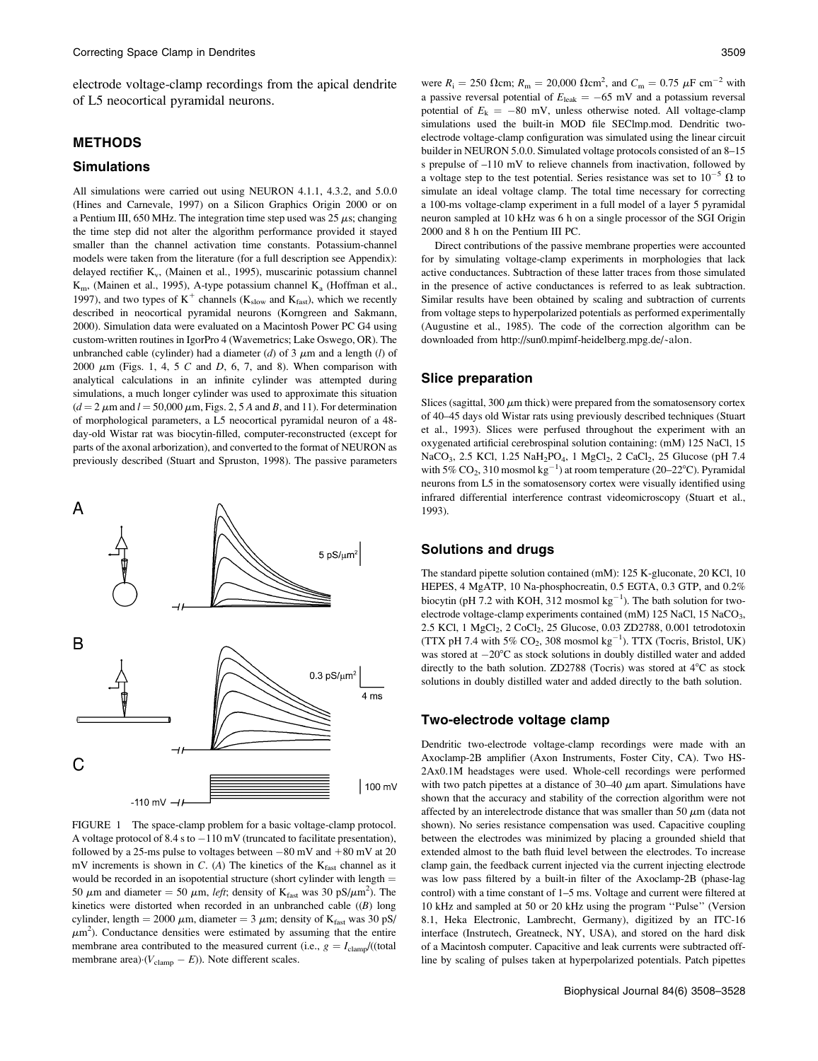electrode voltage-clamp recordings from the apical dendrite of L5 neocortical pyramidal neurons.

## **METHODS**

#### Simulations

All simulations were carried out using NEURON 4.1.1, 4.3.2, and 5.0.0 (Hines and Carnevale, 1997) on a Silicon Graphics Origin 2000 or on a Pentium III, 650 MHz. The integration time step used was 25  $\mu$ s; changing the time step did not alter the algorithm performance provided it stayed smaller than the channel activation time constants. Potassium-channel models were taken from the literature (for a full description see Appendix): delayed rectifier  $K_v$ , (Mainen et al., 1995), muscarinic potassium channel  $K<sub>m</sub>$ , (Mainen et al., 1995), A-type potassium channel  $K<sub>a</sub>$  (Hoffman et al., 1997), and two types of  $K^+$  channels ( $K_{slow}$  and  $K_{fast}$ ), which we recently described in neocortical pyramidal neurons (Korngreen and Sakmann, 2000). Simulation data were evaluated on a Macintosh Power PC G4 using custom-written routines in IgorPro 4 (Wavemetrics; Lake Oswego, OR). The unbranched cable (cylinder) had a diameter (d) of 3  $\mu$ m and a length (l) of 2000  $\mu$ m (Figs. 1, 4, 5 C and D, 6, 7, and 8). When comparison with analytical calculations in an infinite cylinder was attempted during simulations, a much longer cylinder was used to approximate this situation  $(d = 2 \mu m$  and  $l = 50,000 \mu m$ , Figs. 2, 5 A and B, and 11). For determination of morphological parameters, a L5 neocortical pyramidal neuron of a 48 day-old Wistar rat was biocytin-filled, computer-reconstructed (except for parts of the axonal arborization), and converted to the format of NEURON as previously described (Stuart and Spruston, 1998). The passive parameters



FIGURE 1 The space-clamp problem for a basic voltage-clamp protocol. A voltage protocol of 8.4 s to  $-110$  mV (truncated to facilitate presentation), followed by a 25-ms pulse to voltages between  $-80$  mV and  $+80$  mV at 20 mV increments is shown in C. (A) The kinetics of the  $K_{fast}$  channel as it would be recorded in an isopotential structure (short cylinder with length  $=$ 50  $\mu$ m and diameter = 50  $\mu$ m, *left*; density of K<sub>fast</sub> was 30 pS/ $\mu$ m<sup>2</sup>). The kinetics were distorted when recorded in an unbranched cable  $((B)$  long cylinder, length = 2000  $\mu$ m, diameter = 3  $\mu$ m; density of K<sub>fast</sub> was 30 pS/  $\mu$ m<sup>2</sup>). Conductance densities were estimated by assuming that the entire membrane area contributed to the measured current (i.e.,  $g = I_{\text{clamp}}/(\text{total}$ ) membrane area) $\cdot (V_{\text{clamp}} - E)$ ). Note different scales.

were  $R_i = 250$   $\Omega$ cm;  $R_m = 20,000$   $\Omega$ cm<sup>2</sup>, and  $C_m = 0.75$   $\mu$ F cm<sup>-2</sup> with a passive reversal potential of  $E_{\text{leak}} = -65$  mV and a potassium reversal potential of  $E_k = -80$  mV, unless otherwise noted. All voltage-clamp simulations used the built-in MOD file SEClmp.mod. Dendritic twoelectrode voltage-clamp configuration was simulated using the linear circuit builder in NEURON 5.0.0. Simulated voltage protocols consisted of an 8–15 s prepulse of –110 mV to relieve channels from inactivation, followed by a voltage step to the test potential. Series resistance was set to  $10^{-5} \Omega$  to simulate an ideal voltage clamp. The total time necessary for correcting a 100-ms voltage-clamp experiment in a full model of a layer 5 pyramidal neuron sampled at 10 kHz was 6 h on a single processor of the SGI Origin 2000 and 8 h on the Pentium III PC.

Direct contributions of the passive membrane properties were accounted for by simulating voltage-clamp experiments in morphologies that lack active conductances. Subtraction of these latter traces from those simulated in the presence of active conductances is referred to as leak subtraction. Similar results have been obtained by scaling and subtraction of currents from voltage steps to hyperpolarized potentials as performed experimentally (Augustine et al., 1985). The code of the correction algorithm can be downloaded from http://sun0.mpimf-heidelberg.mpg.de/~alon.

#### Slice preparation

Slices (sagittal, 300  $\mu$ m thick) were prepared from the somatosensory cortex of 40–45 days old Wistar rats using previously described techniques (Stuart et al., 1993). Slices were perfused throughout the experiment with an oxygenated artificial cerebrospinal solution containing: (mM) 125 NaCl, 15 NaCO<sub>3</sub>, 2.5 KCl, 1.25 NaH<sub>2</sub>PO<sub>4</sub>, 1 MgCl<sub>2</sub>, 2 CaCl<sub>2</sub>, 25 Glucose (pH 7.4 with 5%  $CO_2$ , 310 mosmol  $kg^{-1}$ ) at room temperature (20–22°C). Pyramidal neurons from L5 in the somatosensory cortex were visually identified using infrared differential interference contrast videomicroscopy (Stuart et al., 1993).

## Solutions and drugs

The standard pipette solution contained (mM): 125 K-gluconate, 20 KCl, 10 HEPES, 4 MgATP, 10 Na-phosphocreatin, 0.5 EGTA, 0.3 GTP, and 0.2% biocytin (pH 7.2 with KOH, 312 mosmol  $kg^{-1}$ ). The bath solution for twoelectrode voltage-clamp experiments contained (mM) 125 NaCl, 15 NaCO<sub>3</sub>, 2.5 KCl, 1 MgCl<sub>2</sub>, 2 CoCl<sub>2</sub>, 25 Glucose, 0.03 ZD2788, 0.001 tetrodotoxin (TTX pH 7.4 with 5%  $CO_2$ , 308 mosmol  $kg^{-1}$ ). TTX (Tocris, Bristol, UK) was stored at  $-20^{\circ}$ C as stock solutions in doubly distilled water and added directly to the bath solution. ZD2788 (Tocris) was stored at  $4^{\circ}$ C as stock solutions in doubly distilled water and added directly to the bath solution.

#### Two-electrode voltage clamp

Dendritic two-electrode voltage-clamp recordings were made with an Axoclamp-2B amplifier (Axon Instruments, Foster City, CA). Two HS-2Ax0.1M headstages were used. Whole-cell recordings were performed with two patch pipettes at a distance of  $30-40 \mu m$  apart. Simulations have shown that the accuracy and stability of the correction algorithm were not affected by an interelectrode distance that was smaller than 50  $\mu$ m (data not shown). No series resistance compensation was used. Capacitive coupling between the electrodes was minimized by placing a grounded shield that extended almost to the bath fluid level between the electrodes. To increase clamp gain, the feedback current injected via the current injecting electrode was low pass filtered by a built-in filter of the Axoclamp-2B (phase-lag control) with a time constant of 1–5 ms. Voltage and current were filtered at 10 kHz and sampled at 50 or 20 kHz using the program ''Pulse'' (Version 8.1, Heka Electronic, Lambrecht, Germany), digitized by an ITC-16 interface (Instrutech, Greatneck, NY, USA), and stored on the hard disk of a Macintosh computer. Capacitive and leak currents were subtracted offline by scaling of pulses taken at hyperpolarized potentials. Patch pipettes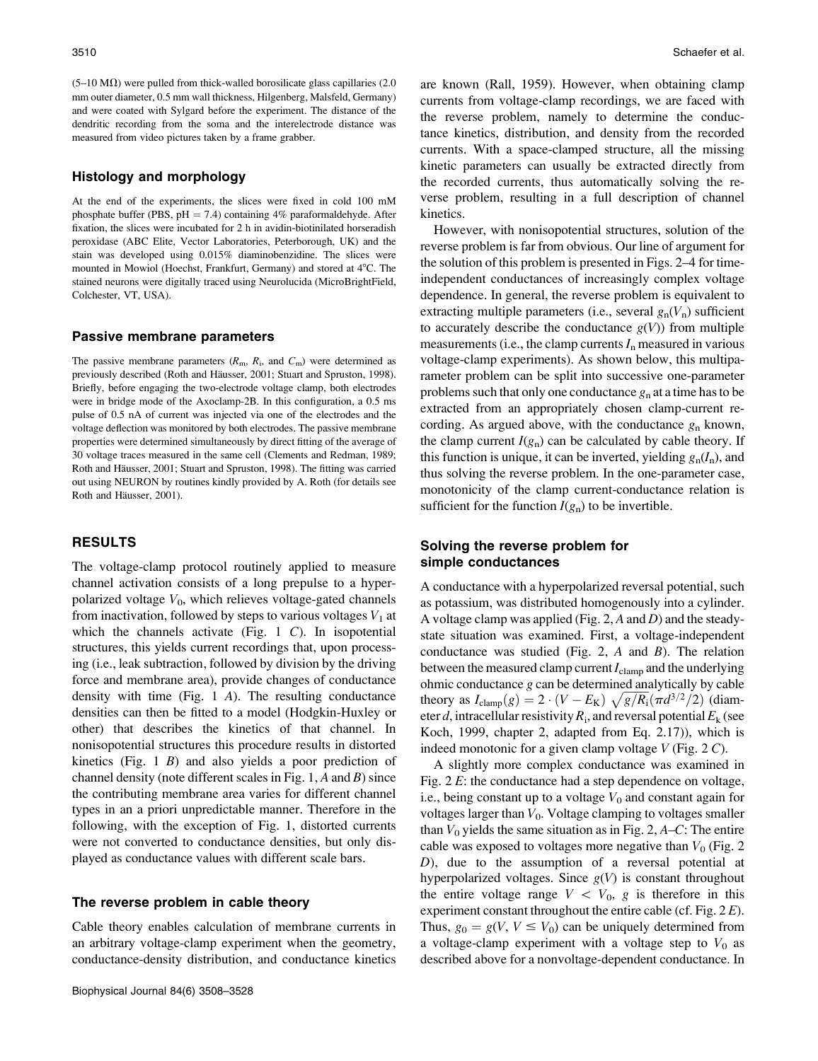$(5-10 \text{ M}\Omega)$  were pulled from thick-walled borosilicate glass capillaries (2.0) mm outer diameter, 0.5 mm wall thickness, Hilgenberg, Malsfeld, Germany) and were coated with Sylgard before the experiment. The distance of the dendritic recording from the soma and the interelectrode distance was measured from video pictures taken by a frame grabber.

### Histology and morphology

At the end of the experiments, the slices were fixed in cold 100 mM phosphate buffer (PBS,  $pH = 7.4$ ) containing 4% paraformaldehyde. After fixation, the slices were incubated for 2 h in avidin-biotinilated horseradish peroxidase (ABC Elite, Vector Laboratories, Peterborough, UK) and the stain was developed using 0.015% diaminobenzidine. The slices were mounted in Mowiol (Hoechst, Frankfurt, Germany) and stored at 4°C. The stained neurons were digitally traced using Neurolucida (MicroBrightField, Colchester, VT, USA).

#### Passive membrane parameters

The passive membrane parameters  $(R<sub>m</sub>, R<sub>i</sub>,$  and  $C<sub>m</sub>)$  were determined as previously described (Roth and Häusser, 2001; Stuart and Spruston, 1998). Briefly, before engaging the two-electrode voltage clamp, both electrodes were in bridge mode of the Axoclamp-2B. In this configuration, a 0.5 ms pulse of 0.5 nA of current was injected via one of the electrodes and the voltage deflection was monitored by both electrodes. The passive membrane properties were determined simultaneously by direct fitting of the average of 30 voltage traces measured in the same cell (Clements and Redman, 1989; Roth and Häusser, 2001; Stuart and Spruston, 1998). The fitting was carried out using NEURON by routines kindly provided by A. Roth (for details see Roth and Häusser, 2001).

## RESULTS

The voltage-clamp protocol routinely applied to measure channel activation consists of a long prepulse to a hyperpolarized voltage  $V_0$ , which relieves voltage-gated channels from inactivation, followed by steps to various voltages  $V_1$  at which the channels activate (Fig. 1  $C$ ). In isopotential structures, this yields current recordings that, upon processing (i.e., leak subtraction, followed by division by the driving force and membrane area), provide changes of conductance density with time (Fig. 1 A). The resulting conductance densities can then be fitted to a model (Hodgkin-Huxley or other) that describes the kinetics of that channel. In nonisopotential structures this procedure results in distorted kinetics (Fig.  $1 \ B$ ) and also yields a poor prediction of channel density (note different scales in Fig. 1,  $A$  and  $B$ ) since the contributing membrane area varies for different channel types in an a priori unpredictable manner. Therefore in the following, with the exception of Fig. 1, distorted currents were not converted to conductance densities, but only displayed as conductance values with different scale bars.

#### The reverse problem in cable theory

Cable theory enables calculation of membrane currents in an arbitrary voltage-clamp experiment when the geometry, conductance-density distribution, and conductance kinetics are known (Rall, 1959). However, when obtaining clamp currents from voltage-clamp recordings, we are faced with the reverse problem, namely to determine the conductance kinetics, distribution, and density from the recorded currents. With a space-clamped structure, all the missing kinetic parameters can usually be extracted directly from the recorded currents, thus automatically solving the reverse problem, resulting in a full description of channel kinetics.

However, with nonisopotential structures, solution of the reverse problem is far from obvious. Our line of argument for the solution of this problem is presented in Figs. 2–4 for timeindependent conductances of increasingly complex voltage dependence. In general, the reverse problem is equivalent to extracting multiple parameters (i.e., several  $g_n(V_n)$  sufficient to accurately describe the conductance  $g(V)$ ) from multiple measurements (i.e., the clamp currents  $I_n$  measured in various voltage-clamp experiments). As shown below, this multiparameter problem can be split into successive one-parameter problems such that only one conductance  $g_n$  at a time has to be extracted from an appropriately chosen clamp-current recording. As argued above, with the conductance  $g_n$  known, the clamp current  $I(g_n)$  can be calculated by cable theory. If this function is unique, it can be inverted, yielding  $g_n(I_n)$ , and thus solving the reverse problem. In the one-parameter case, monotonicity of the clamp current-conductance relation is sufficient for the function  $I(g_n)$  to be invertible.

# Solving the reverse problem for simple conductances

A conductance with a hyperpolarized reversal potential, such as potassium, was distributed homogenously into a cylinder. A voltage clamp was applied (Fig. 2,  $A$  and  $D$ ) and the steadystate situation was examined. First, a voltage-independent conductance was studied (Fig. 2, A and B). The relation between the measured clamp current  $I_{\text{clamp}}$  and the underlying ohmic conductance  $g$  can be determined analytically by cable theory as  $I_{\text{clamp}}(g) = 2 \cdot (V - E_{\text{K}}) \sqrt{g/R_{\text{i}}} (\pi d^{3/2}/2)$  (diameter d, intracellular resistivity  $R_i$ , and reversal potential  $E_k$  (see Koch, 1999, chapter 2, adapted from Eq. 2.17)), which is indeed monotonic for a given clamp voltage  $V$  (Fig. 2 C).

A slightly more complex conductance was examined in Fig. 2 E: the conductance had a step dependence on voltage, i.e., being constant up to a voltage  $V_0$  and constant again for voltages larger than  $V_0$ . Voltage clamping to voltages smaller than  $V_0$  yields the same situation as in Fig. 2,  $A-C$ : The entire cable was exposed to voltages more negative than  $V_0$  (Fig. 2) D), due to the assumption of a reversal potential at hyperpolarized voltages. Since  $g(V)$  is constant throughout the entire voltage range  $V \, < \, V_0, \, g$  is therefore in this experiment constant throughout the entire cable (cf. Fig.  $2 E$ ). Thus,  $g_0 = g(V, V \leq V_0)$  can be uniquely determined from a voltage-clamp experiment with a voltage step to  $V_0$  as described above for a nonvoltage-dependent conductance. In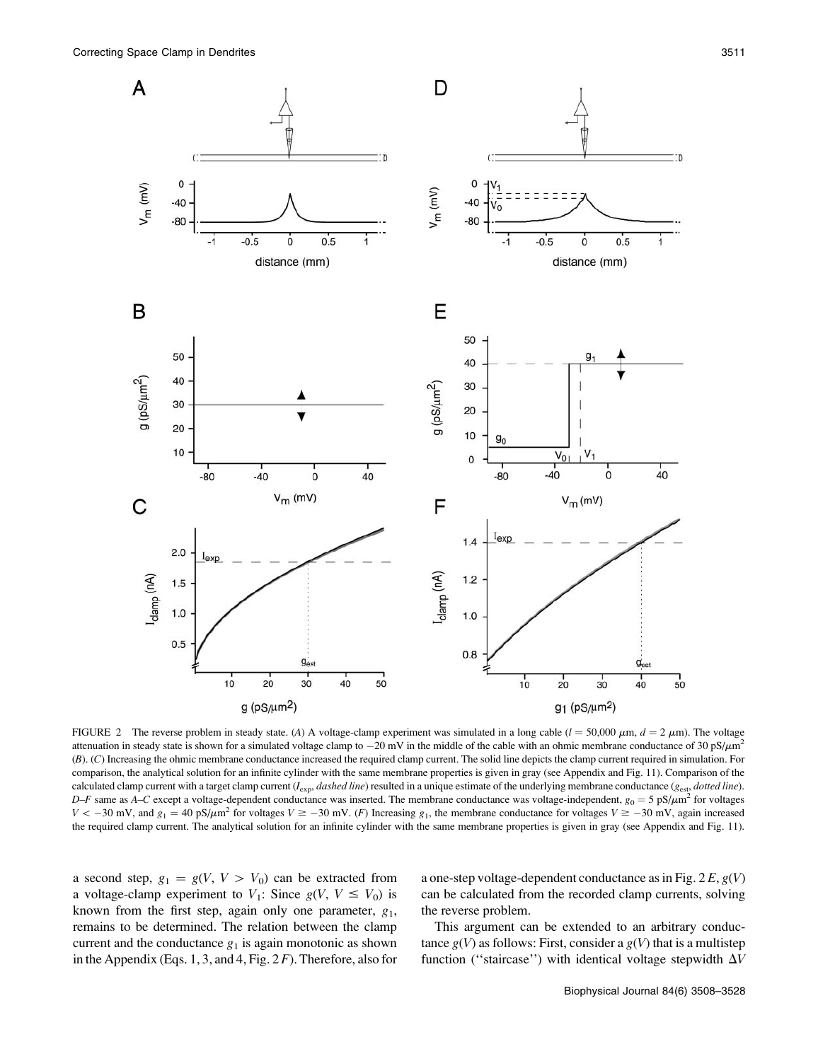

FIGURE 2 The reverse problem in steady state. (A) A voltage-clamp experiment was simulated in a long cable ( $l = 50,000 \mu \text{m}$ ,  $d = 2 \mu \text{m}$ ). The voltage attenuation in steady state is shown for a simulated voltage clamp to  $-20$  mV in the middle of the cable with an ohmic membrane conductance of 30 pS/ $\mu$ m<sup>2</sup> (B). (C) Increasing the ohmic membrane conductance increased the required clamp current. The solid line depicts the clamp current required in simulation. For comparison, the analytical solution for an infinite cylinder with the same membrane properties is given in gray (see Appendix and Fig. 11). Comparison of the calculated clamp current with a target clamp current  $(I_{exp}, dashed$  line) resulted in a unique estimate of the underlying membrane conductance ( $g_{est}$ , *dotted line*).  $D-F$  same as A–C except a voltage-dependent conductance was inserted. The membrane conductance was voltage-independent,  $g_0 = 5 \text{ pS}/\mu\text{m}^2$  for voltages  $V < -30$  mV, and  $g_1 = 40$  pS/ $\mu$ m<sup>2</sup> for voltages  $V \ge -30$  mV. (F) Increasing  $g_1$ , the membrane conductance for voltages  $V \ge -30$  mV, again increased the required clamp current. The analytical solution for an infinite cylinder with the same membrane properties is given in gray (see Appendix and Fig. 11).

a second step,  $g_1 = g(V, V > V_0)$  can be extracted from a voltage-clamp experiment to  $V_1$ : Since  $g(V, V \le V_0)$  is known from the first step, again only one parameter,  $g_1$ , remains to be determined. The relation between the clamp current and the conductance  $g_1$  is again monotonic as shown in the Appendix (Eqs. 1, 3, and 4, Fig.  $2F$ ). Therefore, also for a one-step voltage-dependent conductance as in Fig.  $2E, g(V)$ can be calculated from the recorded clamp currents, solving the reverse problem.

This argument can be extended to an arbitrary conductance  $g(V)$  as follows: First, consider a  $g(V)$  that is a multistep function ("staircase") with identical voltage stepwidth  $\Delta V$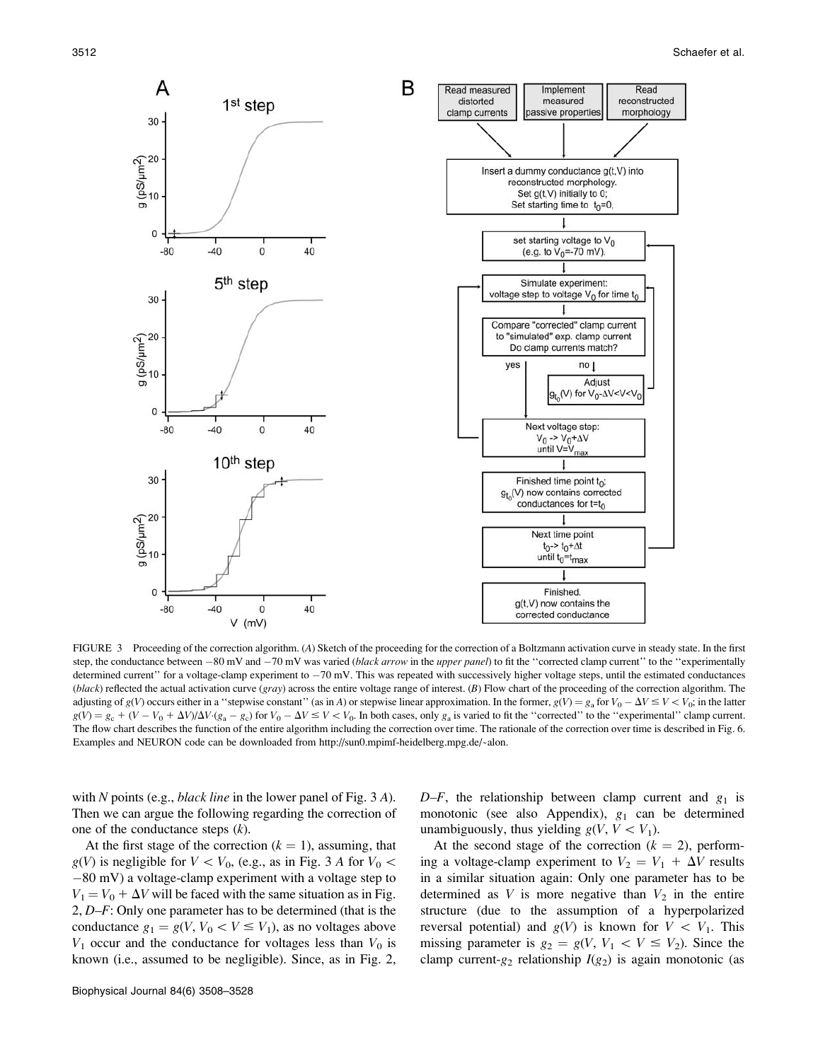

FIGURE 3 Proceeding of the correction algorithm. (A) Sketch of the proceeding for the correction of a Boltzmann activation curve in steady state. In the first step, the conductance between  $-80$  mV and  $-70$  mV was varied (black arrow in the upper panel) to fit the "corrected clamp current" to the "experimentally determined current" for a voltage-clamp experiment to  $-70$  mV. This was repeated with successively higher voltage steps, until the estimated conductances  $(b\nu lack)$  reflected the actual activation curve  $(g\nu r)$  across the entire voltage range of interest. (B) Flow chart of the proceeding of the correction algorithm. The adjusting of  $g(V)$  occurs either in a "stepwise constant" (as in A) or stepwise linear approximation. In the former,  $g(V) = g_a$  for  $V_0 - \Delta V \le V \le V_0$ ; in the latter  $g(V) = g_c + (V - V_0 + \Delta V)/\Delta V \cdot (g_a - g_c)$  for  $V_0 - \Delta V \le V < V_0$ . In both cases, only  $g_a$  is varied to fit the "corrected" to the "experimental" clamp current. The flow chart describes the function of the entire algorithm including the correction over time. The rationale of the correction over time is described in Fig. 6. Examples and NEURON code can be downloaded from http://sun0.mpimf-heidelberg.mpg.de/~alon.

with N points (e.g., *black line* in the lower panel of Fig.  $3 \text{ }\mathbf{A}$ ). Then we can argue the following regarding the correction of one of the conductance steps  $(k)$ .

At the first stage of the correction  $(k = 1)$ , assuming, that  $g(V)$  is negligible for  $V < V_0$ , (e.g., as in Fig. 3 A for  $V_0$  <  $-80$  mV) a voltage-clamp experiment with a voltage step to  $V_1 = V_0 + \Delta V$  will be faced with the same situation as in Fig. 2, D–F: Only one parameter has to be determined (that is the conductance  $g_1 = g(V, V_0 < V \leq V_1)$ , as no voltages above  $V_1$  occur and the conductance for voltages less than  $V_0$  is known (i.e., assumed to be negligible). Since, as in Fig. 2,

 $D-F$ , the relationship between clamp current and  $g_1$  is monotonic (see also Appendix),  $g_1$  can be determined unambiguously, thus yielding  $g(V, V < V_1)$ .

At the second stage of the correction ( $k = 2$ ), performing a voltage-clamp experiment to  $V_2 = V_1 + \Delta V$  results in a similar situation again: Only one parameter has to be determined as  $V$  is more negative than  $V_2$  in the entire structure (due to the assumption of a hyperpolarized reversal potential) and  $g(V)$  is known for  $V \, < \, V_1$ . This missing parameter is  $g_2 = g(V, V_1 < V \leq V_2)$ . Since the clamp current- $g_2$  relationship  $I(g_2)$  is again monotonic (as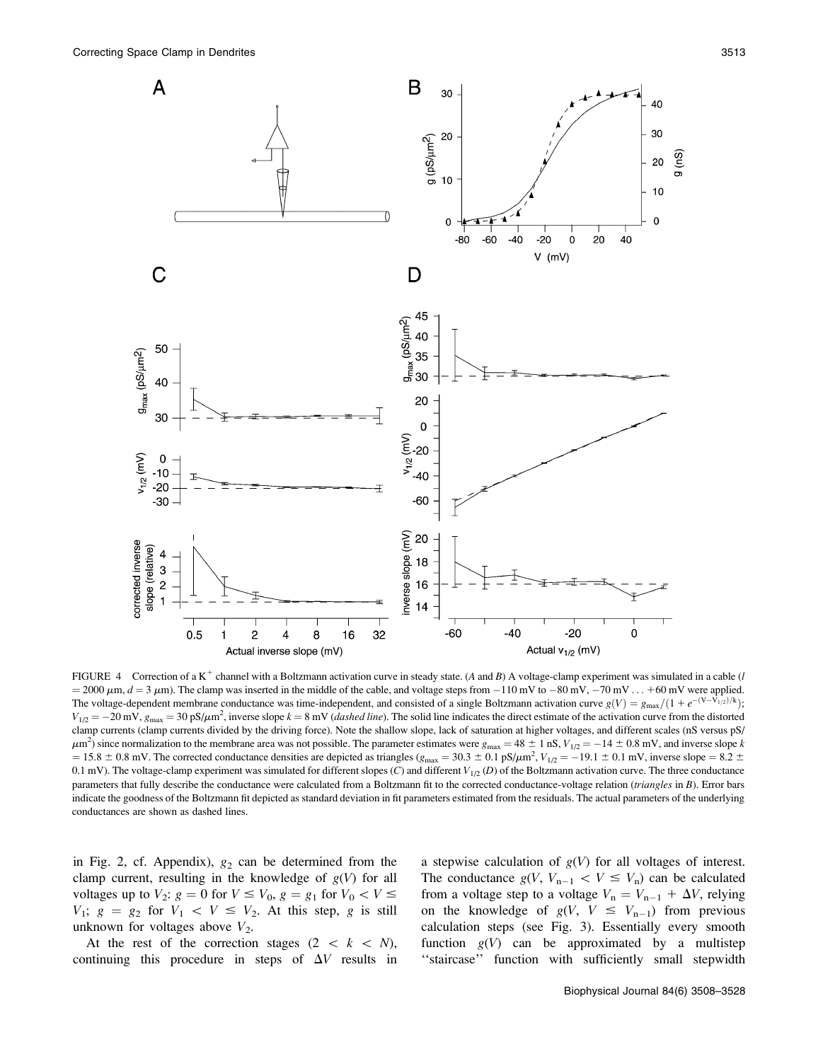

FIGURE 4 Correction of a K<sup>+</sup> channel with a Boltzmann activation curve in steady state. (A and B) A voltage-clamp experiment was simulated in a cable (l  $= 2000 \mu m$ ,  $d = 3 \mu m$ ). The clamp was inserted in the middle of the cable, and voltage steps from  $-110 \text{ mV}$  to  $-80 \text{ mV}$ ,  $-70 \text{ mV}$ ...  $+60 \text{ mV}$  were applied. The voltage-dependent membrane conductance was time-independent, and consisted of a single Boltzmann activation curve  $g(V) = g_{\text{max}}/(1 + e^{-(V-V_{1/2})/k})$ ;  $V_{1/2} = -20$  mV,  $g_{\text{max}} = 30 \text{ pS/\mu m}^2$ , inverse slope  $k = 8 \text{ mV}$  (*dashed line*). The solid line indicates the direct estimate of the activation curve from the distorted clamp currents (clamp currents divided by the driving force). Note the shallow slope, lack of saturation at higher voltages, and different scales (nS versus pS/  $\mu$ m<sup>2</sup>) since normalization to the membrane area was not possible. The parameter estimates were  $g_{\text{max}} = 48 \pm 1$  nS,  $V_{1/2} = -14 \pm 0.8$  mV, and inverse slope k  $= 15.8 \pm 0.8$  mV. The corrected conductance densities are depicted as triangles ( $g_{\text{max}} = 30.3 \pm 0.1$  pS/ $\mu$ m<sup>2</sup>,  $V_{1/2} = -19.1 \pm 0.1$  mV, inverse slope  $= 8.2 \pm 0.8$ 0.1 mV). The voltage-clamp experiment was simulated for different slopes  $(C)$  and different  $V_{1/2}$   $(D)$  of the Boltzmann activation curve. The three conductance parameters that fully describe the conductance were calculated from a Boltzmann fit to the corrected conductance-voltage relation (triangles in B). Error bars indicate the goodness of the Boltzmann fit depicted as standard deviation in fit parameters estimated from the residuals. The actual parameters of the underlying conductances are shown as dashed lines.

in Fig. 2, cf. Appendix),  $g_2$  can be determined from the clamp current, resulting in the knowledge of  $g(V)$  for all voltages up to  $V_2$ :  $g = 0$  for  $V \le V_0$ ,  $g = g_1$  for  $V_0 < V \le$  $V_1$ ;  $g = g_2$  for  $V_1 < V \leq V_2$ . At this step, g is still unknown for voltages above  $V_2$ .

At the rest of the correction stages  $(2 \ < \ k \ < N)$ , continuing this procedure in steps of  $\Delta V$  results in

a stepwise calculation of  $g(V)$  for all voltages of interest. The conductance  $g(V, V_{n-1} < V \leq V_n)$  can be calculated from a voltage step to a voltage  $V_n = V_{n-1} + \Delta V$ , relying on the knowledge of  $g(V, V \leq V_{n-1})$  from previous calculation steps (see Fig. 3). Essentially every smooth function  $g(V)$  can be approximated by a multistep "staircase" function with sufficiently small stepwidth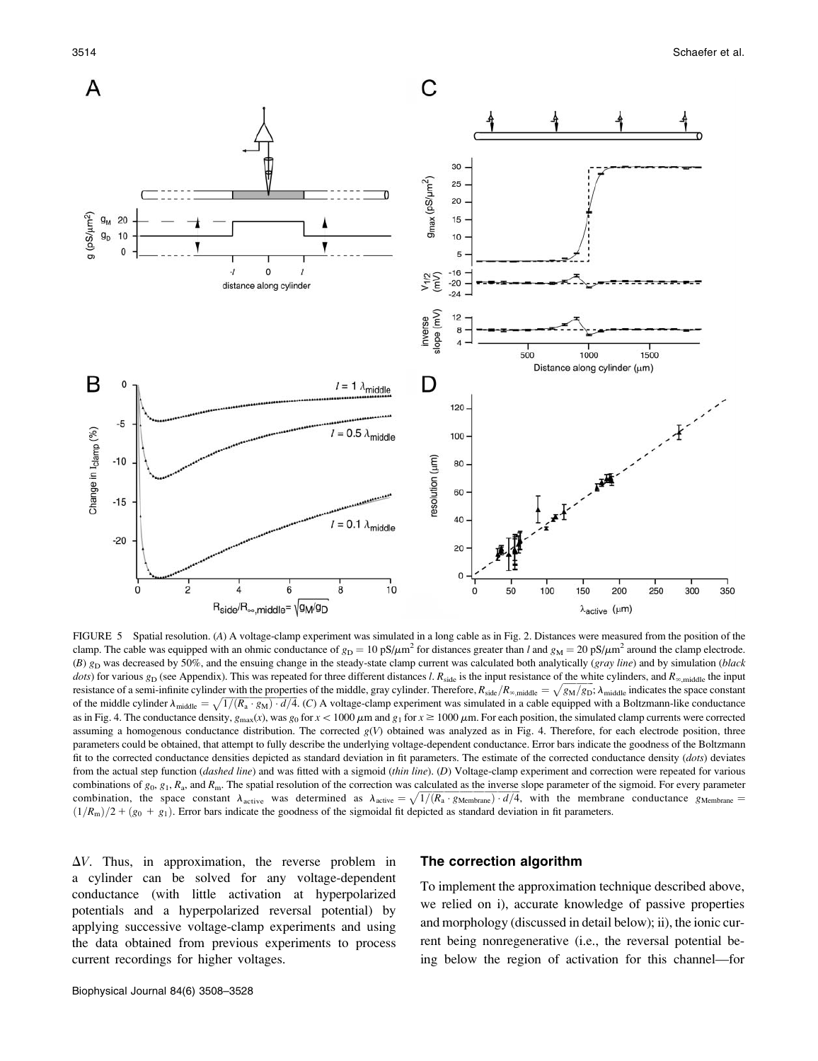

FIGURE 5 Spatial resolution. (A) A voltage-clamp experiment was simulated in a long cable as in Fig. 2. Distances were measured from the position of the clamp. The cable was equipped with an ohmic conductance of  $g_D = 10 \text{ pS}/\mu\text{m}^2$  for distances greater than l and  $g_M = 20 \text{ pS}/\mu\text{m}^2$  around the clamp electrode.  $(B)$  g<sub>D</sub> was decreased by 50%, and the ensuing change in the steady-state clamp current was calculated both analytically (gray line) and by simulation (black dots) for various  $g_D$  (see Appendix). This was repeated for three different distances l.  $R_{side}$  is the input resistance of the white cylinders, and  $R_{\infty,middle}$  the input resistance of a semi-infinite cylinder with the properties of the middle, gray cylinder. Therefore,  $R_{\text{side}}/R_{\infty,\text{middle}}/R_{\infty,\text{middle}} = \sqrt{g_M/g_D}$ ;  $\lambda_{\text{middle}}$  indicates the space constants of a semi-infinite cylinder with the p of the middle cylinder  $\lambda_{\text{middle}} = \sqrt{1/(R_a \cdot g_M) \cdot d/4}$ . (C) A voltage-clamp experiment was simulated in a cable equipped with a Boltzmann-like conductance as in Fig. 4. The conductance density,  $g_{\text{max}}(x)$ , was  $g_0$  for  $x < 1000 \,\mu\text{m}$  and  $g_1$  for  $x \ge 1000 \,\mu\text{m}$ . For each position, the simulated clamp currents were corrected assuming a homogenous conductance distribution. The corrected  $g(V)$  obtained was analyzed as in Fig. 4. Therefore, for each electrode position, three parameters could be obtained, that attempt to fully describe the underlying voltage-dependent conductance. Error bars indicate the goodness of the Boltzmann fit to the corrected conductance densities depicted as standard deviation in fit parameters. The estimate of the corrected conductance density (dots) deviates from the actual step function (*dashed line*) and was fitted with a sigmoid (*thin line*). (D) Voltage-clamp experiment and correction were repeated for various combinations of  $g_0, g_1, R_a$ , and  $R_m$ . The spatial resolution of the correction was calculated as the inverse slope parameter of the sigmoid. For every parameter combinations of  $g_0$ ,  $g_1$ ,  $h_a$ , and  $h_{\text{m}}$ . The spatial resolution of the correction was determined as  $h_{\text{active}} = \sqrt{1/(R_a \cdot g_{\text{Membrane}}) \cdot d/4}$ , with the membrane conductance  $g_{\text{Membrane}} =$  $(1/R<sub>m</sub>)/2 + (g<sub>0</sub> + g<sub>1</sub>)$ . Error bars indicate the goodness of the sigmoidal fit depicted as standard deviation in fit parameters.

 $\Delta V$ . Thus, in approximation, the reverse problem in a cylinder can be solved for any voltage-dependent conductance (with little activation at hyperpolarized potentials and a hyperpolarized reversal potential) by applying successive voltage-clamp experiments and using the data obtained from previous experiments to process current recordings for higher voltages.

## The correction algorithm

To implement the approximation technique described above, we relied on i), accurate knowledge of passive properties and morphology (discussed in detail below); ii), the ionic current being nonregenerative (i.e., the reversal potential being below the region of activation for this channel—for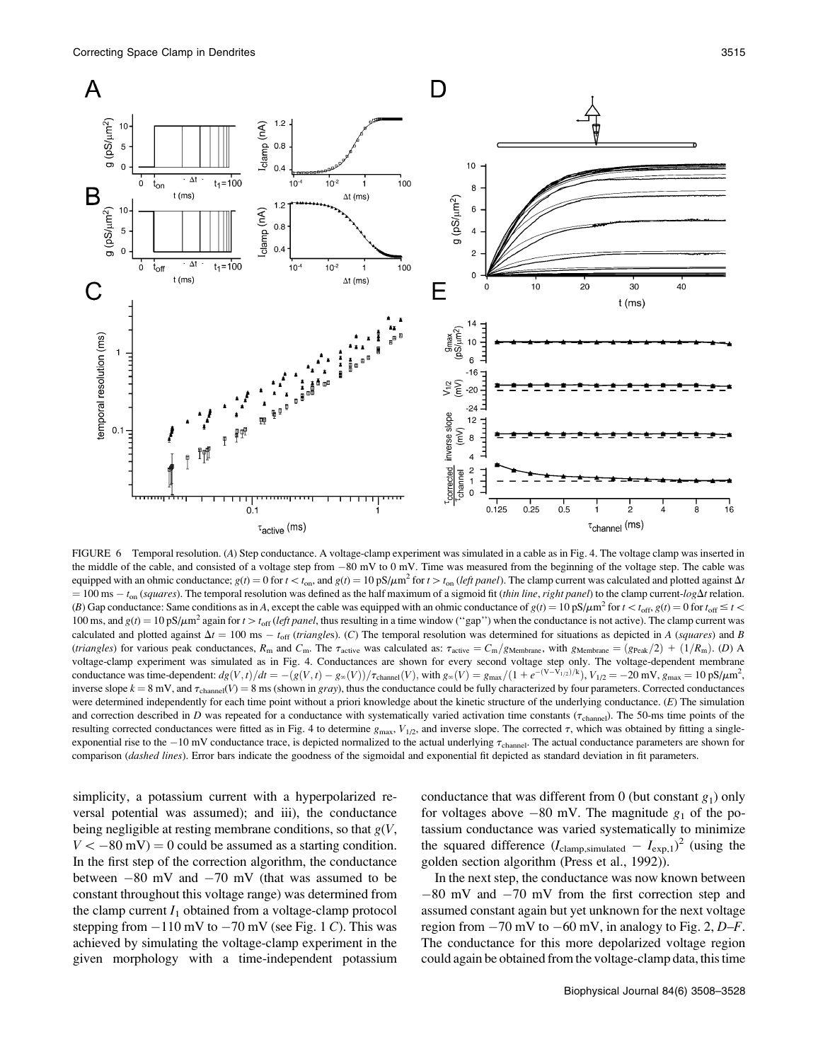

FIGURE 6 Temporal resolution. (A) Step conductance. A voltage-clamp experiment was simulated in a cable as in Fig. 4. The voltage clamp was inserted in the middle of the cable, and consisted of a voltage step from  $-80$  mV to 0 mV. Time was measured from the beginning of the voltage step. The cable was equipped with an ohmic conductance;  $g(t) = 0$  for  $t < t_{on}$ , and  $g(t) = 10 \text{ pS}/\mu\text{m}^2$  for  $t > t_{on}$  (left panel). The clamp current was calculated and plotted against  $\Delta t$  $= 100$  ms  $- t_{on}$  (squares). The temporal resolution was defined as the half maximum of a sigmoid fit (thin line, right panel) to the clamp current-log $\Delta t$  relation. (B) Gap conductance: Same conditions as in A, except the cable was equipped with an ohmic conductance of  $g(t) = 10 \text{ pS}/\mu\text{m}^2$  for  $t < t_{\text{off}}$ ,  $g(t) = 0$  for  $t_{\text{off}} \le t < t$ 100 ms, and  $g(t) = 10 \text{ pS}/\mu\text{m}^2$  again for  $t > t_{\text{off}}$  (left panel, thus resulting in a time window ("gap") when the conductance is not active). The clamp current was calculated and plotted against  $\Delta t = 100$  ms  $- t_{off}$  (triangles). (C) The temporal resolution was determined for situations as depicted in A (squares) and B (triangles) for various peak conductances,  $R_m$  and  $C_m$ . The  $\tau_{\text{active}}$  was calculated as:  $\tau_{\text{active}} = C_m/g_{\text{Method}}$ , with  $g_{\text{Method}} = (g_{\text{Peak}}/2) + (1/R_m)$ . (D) A voltage-clamp experiment was simulated as in Fig. 4. Conductances are shown for every second voltage step only. The voltage-dependent membrane conductance was time-dependent:  $dg(V, t)/dt = -(g(V, t) - g_{\infty}(V))/\tau_{channel}(V)$ , with  $g_{\infty}(V) = g_{\max}/(1 + e^{-(V-V_{1/2})/k})$ ,  $V_{1/2} = -20$  mV,  $g_{\max} = 10 \text{ pS}/\mu\text{m}^2$ , inverse slope  $k = 8$  mV, and  $\tau_{channel}(V) = 8$  ms (shown in gray), thus the conductance could be fully characterized by four parameters. Corrected conductances were determined independently for each time point without a priori knowledge about the kinetic structure of the underlying conductance. (E) The simulation and correction described in D was repeated for a conductance with systematically varied activation time constants ( $\tau_{channel}$ ). The 50-ms time points of the resulting corrected conductances were fitted as in Fig. 4 to determine  $g_{\text{max}}$ ,  $V_{1/2}$ , and inverse slope. The corrected  $\tau$ , which was obtained by fitting a singleexponential rise to the  $-10$  mV conductance trace, is depicted normalized to the actual underlying  $\tau_{channel}$ . The actual conductance parameters are shown for comparison (dashed lines). Error bars indicate the goodness of the sigmoidal and exponential fit depicted as standard deviation in fit parameters.

simplicity, a potassium current with a hyperpolarized reversal potential was assumed); and iii), the conductance being negligible at resting membrane conditions, so that  $g(V, \mathcal{L})$  $V < -80$  mV) = 0 could be assumed as a starting condition. In the first step of the correction algorithm, the conductance between  $-80$  mV and  $-70$  mV (that was assumed to be constant throughout this voltage range) was determined from the clamp current  $I_1$  obtained from a voltage-clamp protocol stepping from  $-110$  mV to  $-70$  mV (see Fig. 1 C). This was achieved by simulating the voltage-clamp experiment in the given morphology with a time-independent potassium conductance that was different from 0 (but constant  $g_1$ ) only for voltages above  $-80$  mV. The magnitude  $g_1$  of the potassium conductance was varied systematically to minimize the squared difference  $(I_{\text{clamp,simulated}} - I_{\text{exp},1})^2$  (using the golden section algorithm (Press et al., 1992)).

In the next step, the conductance was now known between  $-80$  mV and  $-70$  mV from the first correction step and assumed constant again but yet unknown for the next voltage region from  $-70$  mV to  $-60$  mV, in analogy to Fig. 2, D–F. The conductance for this more depolarized voltage region could again be obtained from the voltage-clamp data, this time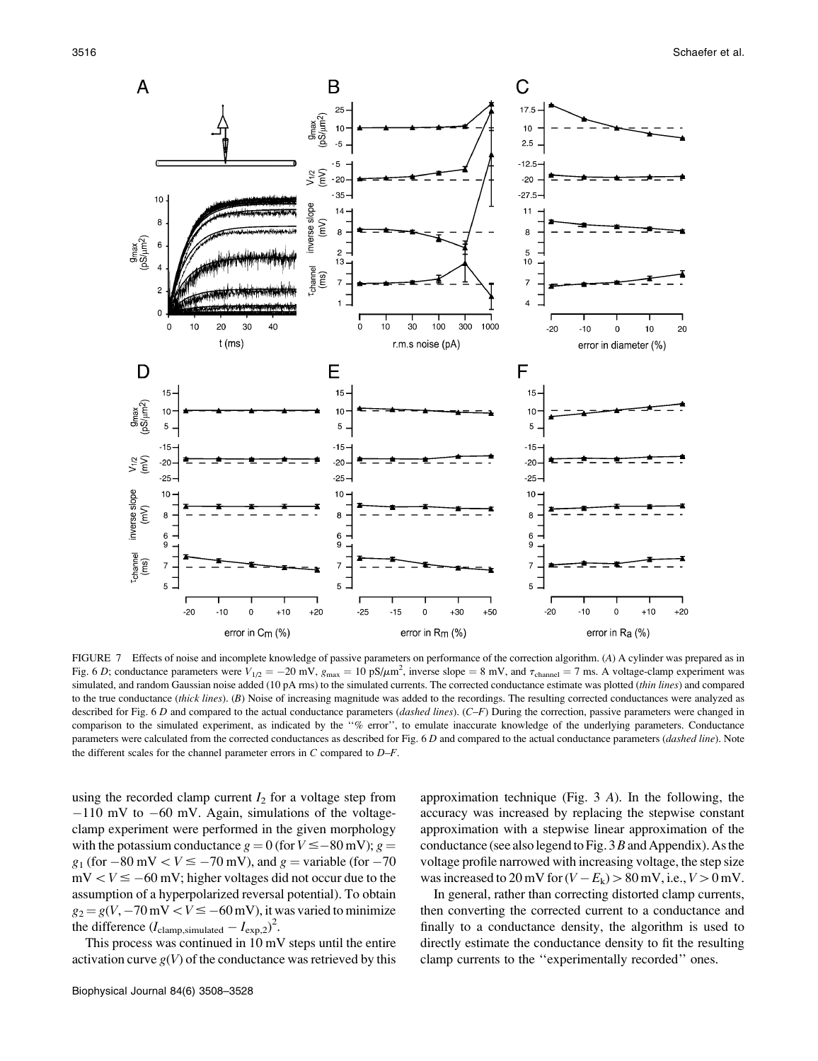

FIGURE 7 Effects of noise and incomplete knowledge of passive parameters on performance of the correction algorithm. (A) A cylinder was prepared as in Fig. 6 D; conductance parameters were  $V_{1/2} = -20$  mV,  $g_{\text{max}} = 10 \text{ pS/\mu m}^2$ , inverse slope = 8 mV, and  $\tau_{\text{channel}} = 7 \text{ ms}$ . A voltage-clamp experiment was simulated, and random Gaussian noise added (10 pA rms) to the simulated currents. The corrected conductance estimate was plotted (thin lines) and compared to the true conductance (thick lines). (B) Noise of increasing magnitude was added to the recordings. The resulting corrected conductances were analyzed as described for Fig. 6 D and compared to the actual conductance parameters (dashed lines).  $(C-F)$  During the correction, passive parameters were changed in comparison to the simulated experiment, as indicated by the ''% error'', to emulate inaccurate knowledge of the underlying parameters. Conductance parameters were calculated from the corrected conductances as described for Fig. 6 D and compared to the actual conductance parameters (dashed line). Note the different scales for the channel parameter errors in  $C$  compared to  $D-F$ .

using the recorded clamp current  $I_2$  for a voltage step from  $-110$  mV to  $-60$  mV. Again, simulations of the voltageclamp experiment were performed in the given morphology with the potassium conductance  $g = 0$  (for  $V \leq -80$  mV);  $g =$  $g_1$  (for  $-80$  mV  $\lt V \le -70$  mV), and  $g =$  variable (for  $-70$ )  $mV < V \le -60$  mV; higher voltages did not occur due to the assumption of a hyperpolarized reversal potential). To obtain  $g_2 = g(V, -70 \text{ mV} < V \le -60 \text{ mV})$ , it was varied to minimize the difference  $(I_{\text{clamp,simulated}} - I_{\text{exp},2})^2$ .

This process was continued in 10 mV steps until the entire activation curve  $g(V)$  of the conductance was retrieved by this

Biophysical Journal 84(6) 3508–3528

approximation technique (Fig. 3 A). In the following, the accuracy was increased by replacing the stepwise constant approximation with a stepwise linear approximation of the conductance (see also legend to Fig.  $3B$  and Appendix). As the voltage profile narrowed with increasing voltage, the step size was increased to 20 mV for  $(V - E_k) > 80$  mV, i.e.,  $V > 0$  mV.

In general, rather than correcting distorted clamp currents, then converting the corrected current to a conductance and finally to a conductance density, the algorithm is used to directly estimate the conductance density to fit the resulting clamp currents to the ''experimentally recorded'' ones.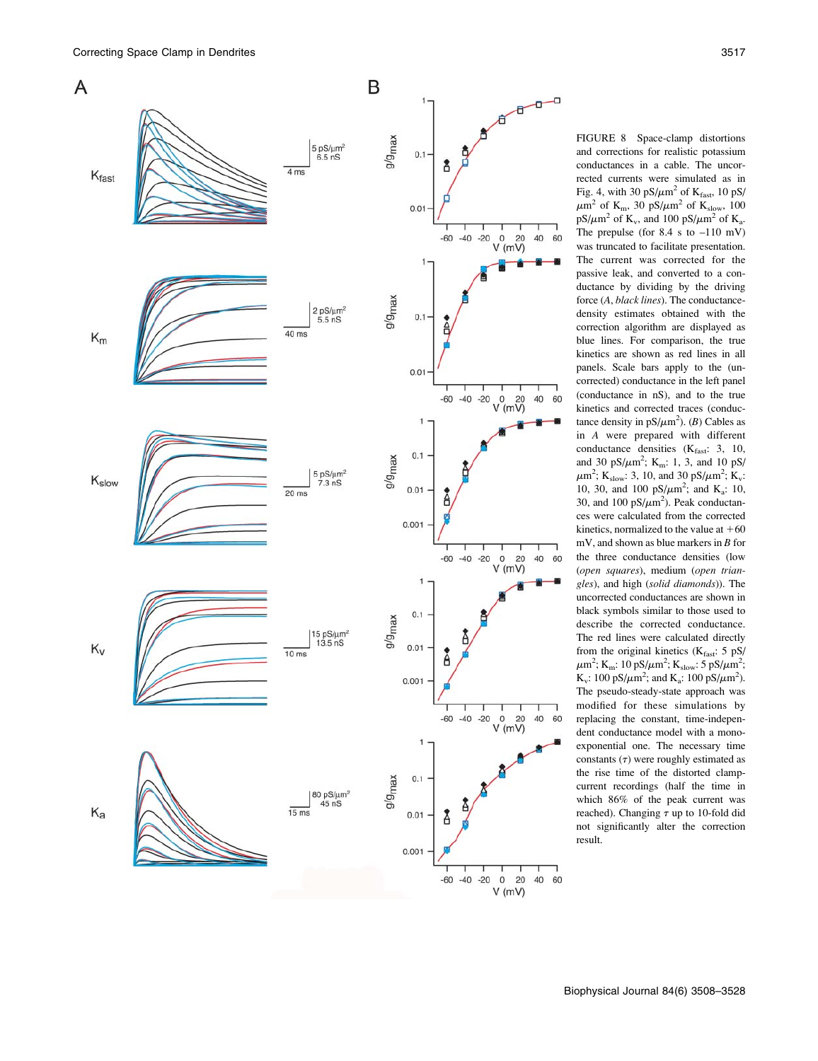

FIGURE 8 Space-clamp distortions and corrections for realistic potassium conductances in a cable. The uncorrected currents were simulated as in Fig. 4, with 30  $pS/\mu m^2$  of  $K_{\text{fast}}$ , 10  $pS/\mu m^2$  $\mu$ m<sup>2</sup> of K<sub>m</sub>, 30 pS/ $\mu$ m<sup>2</sup> of K<sub>slow</sub>, 100  $pS/\mu m^2$  of K<sub>v</sub>, and 100 pS/ $\mu m^2$  of K<sub>a</sub>. The prepulse (for  $8.4 \text{ s}$  to  $-110 \text{ mV}$ ) was truncated to facilitate presentation. The current was corrected for the passive leak, and converted to a conductance by dividing by the driving force (A, black lines). The conductancedensity estimates obtained with the correction algorithm are displayed as blue lines. For comparison, the true kinetics are shown as red lines in all panels. Scale bars apply to the (uncorrected) conductance in the left panel (conductance in nS), and to the true kinetics and corrected traces (conductance density in  $pS/\mu m^2$ ). (*B*) Cables as in A were prepared with different conductance densities  $(K<sub>fast</sub>: 3, 10,$ and 30 pS/ $\mu$ m<sup>2</sup>; K<sub>m</sub>: 1, 3, and 10 pS/  $\mu$ m<sup>2</sup>; K<sub>slow</sub>: 3, 10, and 30 pS/ $\mu$ m<sup>2</sup>; K<sub>v</sub>: 10, 30, and 100  $pS/\mu m^2$ ; and K<sub>a</sub>: 10, 30, and 100  $pS/\mu m^2$ ). Peak conductances were calculated from the corrected kinetics, normalized to the value at  $+60$ mV, and shown as blue markers in B for the three conductance densities (low (open squares), medium (open triangles), and high (solid diamonds)). The uncorrected conductances are shown in black symbols similar to those used to describe the corrected conductance. The red lines were calculated directly from the original kinetics ( $K_{\text{fast}}$ : 5 pS/  $\mu$ m<sup>2</sup>; K<sub>m</sub>: 10 pS/ $\mu$ m<sup>2</sup>; K<sub>slow</sub>: 5 pS/ $\mu$ m<sup>2</sup>; K<sub>v</sub>: 100 pS/ $\mu$ m<sup>2</sup>; and K<sub>a</sub>: 100 pS/ $\mu$ m<sup>2</sup>). The pseudo-steady-state approach was modified for these simulations by replacing the constant, time-independent conductance model with a monoexponential one. The necessary time constants  $(\tau)$  were roughly estimated as the rise time of the distorted clampcurrent recordings (half the time in which 86% of the peak current was reached). Changing  $\tau$  up to 10-fold did not significantly alter the correction result.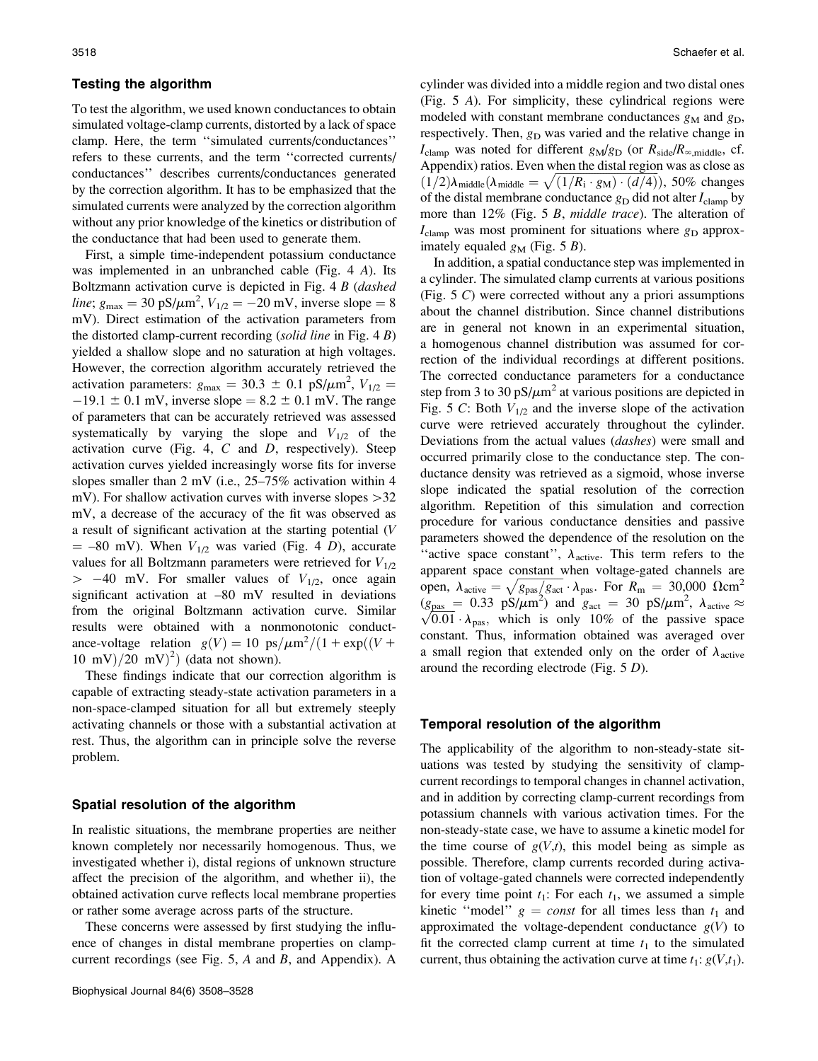#### Testing the algorithm

To test the algorithm, we used known conductances to obtain simulated voltage-clamp currents, distorted by a lack of space clamp. Here, the term ''simulated currents/conductances'' refers to these currents, and the term ''corrected currents/ conductances'' describes currents/conductances generated by the correction algorithm. It has to be emphasized that the simulated currents were analyzed by the correction algorithm without any prior knowledge of the kinetics or distribution of the conductance that had been used to generate them.

First, a simple time-independent potassium conductance was implemented in an unbranched cable (Fig. 4 A). Its Boltzmann activation curve is depicted in Fig. 4 B (dashed *line*;  $g_{\text{max}} = 30 \text{ pS/m}^2$ ,  $V_{1/2} = -20 \text{ mV}$ , inverse slope = 8 mV). Direct estimation of the activation parameters from the distorted clamp-current recording (solid line in Fig.  $4 B$ ) yielded a shallow slope and no saturation at high voltages. However, the correction algorithm accurately retrieved the activation parameters:  $g_{\text{max}} = 30.3 \pm 0.1 \text{ pS/\mu m}^2$ ,  $V_{1/2} =$  $-19.1 \pm 0.1$  mV, inverse slope = 8.2  $\pm$  0.1 mV. The range of parameters that can be accurately retrieved was assessed systematically by varying the slope and  $V_{1/2}$  of the activation curve (Fig. 4,  $C$  and  $D$ , respectively). Steep activation curves yielded increasingly worse fits for inverse slopes smaller than 2 mV (i.e., 25–75% activation within 4 mV). For shallow activation curves with inverse slopes  $>32$ mV, a decrease of the accuracy of the fit was observed as a result of significant activation at the starting potential (V  $=$  –80 mV). When  $V_{1/2}$  was varied (Fig. 4 D), accurate values for all Boltzmann parameters were retrieved for  $V_{1/2}$  $> -40$  mV. For smaller values of  $V_{1/2}$ , once again significant activation at –80 mV resulted in deviations from the original Boltzmann activation curve. Similar results were obtained with a nonmonotonic conductance-voltage relation  $g(V) = 10 \text{ ps}/\mu\text{m}^2/(1 + \exp((V +$  $(10 \text{ mV})/20 \text{ mV})^2$  (data not shown).

These findings indicate that our correction algorithm is capable of extracting steady-state activation parameters in a non-space-clamped situation for all but extremely steeply activating channels or those with a substantial activation at rest. Thus, the algorithm can in principle solve the reverse problem.

## Spatial resolution of the algorithm

In realistic situations, the membrane properties are neither known completely nor necessarily homogenous. Thus, we investigated whether i), distal regions of unknown structure affect the precision of the algorithm, and whether ii), the obtained activation curve reflects local membrane properties or rather some average across parts of the structure.

These concerns were assessed by first studying the influence of changes in distal membrane properties on clampcurrent recordings (see Fig.  $5$ , A and B, and Appendix). A cylinder was divided into a middle region and two distal ones (Fig. 5 A). For simplicity, these cylindrical regions were modeled with constant membrane conductances  $g_M$  and  $g_D$ , respectively. Then,  $g_D$  was varied and the relative change in  $I_{\text{clamp}}$  was noted for different  $g_M/g_D$  (or  $R_{\text{side}}/R_{\infty,\text{middle}}$ , cf. Appendix) ratios. Even when the distal region was as close as Appendra) ratios. Even when the distanties of was as close as  $(1/2)\lambda_{\text{middle}}(\lambda_{\text{middle}} = \sqrt{(1/R_i \cdot g_M) \cdot (d/4)})$ , 50% changes of the distal membrane conductance  $g_D$  did not alter  $I_{\text{clamp}}$  by more than 12% (Fig. 5 B, middle trace). The alteration of  $I_{\text{clamp}}$  was most prominent for situations where  $g_{\text{D}}$  approximately equaled  $g_M$  (Fig. 5 B).

In addition, a spatial conductance step was implemented in a cylinder. The simulated clamp currents at various positions (Fig. 5 C) were corrected without any a priori assumptions about the channel distribution. Since channel distributions are in general not known in an experimental situation, a homogenous channel distribution was assumed for correction of the individual recordings at different positions. The corrected conductance parameters for a conductance step from 3 to 30 pS/ $\mu$ m<sup>2</sup> at various positions are depicted in Fig. 5 C: Both  $V_{1/2}$  and the inverse slope of the activation curve were retrieved accurately throughout the cylinder. Deviations from the actual values (dashes) were small and occurred primarily close to the conductance step. The conductance density was retrieved as a sigmoid, whose inverse slope indicated the spatial resolution of the correction algorithm. Repetition of this simulation and correction procedure for various conductance densities and passive parameters showed the dependence of the resolution on the "active space constant",  $\lambda_{\text{active}}$ . This term refers to the apparent space constant when voltage-gated channels are open,  $\lambda_{\text{active}} = \sqrt{g_{\text{pas}}/g_{\text{act}}} \cdot \lambda_{\text{pas}}$ . For  $R_{\text{m}} = 30,000 \Omega \text{cm}^2$  $(g_{\text{pas}} = 0.33 \text{ pS/\mu m}^2)$  and  $g_{\text{act}} = 30 \text{ pS/\mu m}^2$ ,  $\lambda_{\text{active}} \approx$  $(g_{\text{pas}} = 0.55 \text{ p/s/µm})$  and  $g_{\text{act}} = 50 \text{ p/s/µm}$ ,  $\lambda_{\text{active}} \approx \sqrt{0.01} \cdot \lambda_{\text{pas}}$ , which is only 10% of the passive space constant. Thus, information obtained was averaged over a small region that extended only on the order of  $\lambda_{\text{active}}$ around the recording electrode (Fig. 5 D).

#### Temporal resolution of the algorithm

The applicability of the algorithm to non-steady-state situations was tested by studying the sensitivity of clampcurrent recordings to temporal changes in channel activation, and in addition by correcting clamp-current recordings from potassium channels with various activation times. For the non-steady-state case, we have to assume a kinetic model for the time course of  $g(V,t)$ , this model being as simple as possible. Therefore, clamp currents recorded during activation of voltage-gated channels were corrected independently for every time point  $t_1$ : For each  $t_1$ , we assumed a simple kinetic "model"  $g = const$  for all times less than  $t_1$  and approximated the voltage-dependent conductance  $g(V)$  to fit the corrected clamp current at time  $t_1$  to the simulated current, thus obtaining the activation curve at time  $t_1$ :  $g(V,t_1)$ .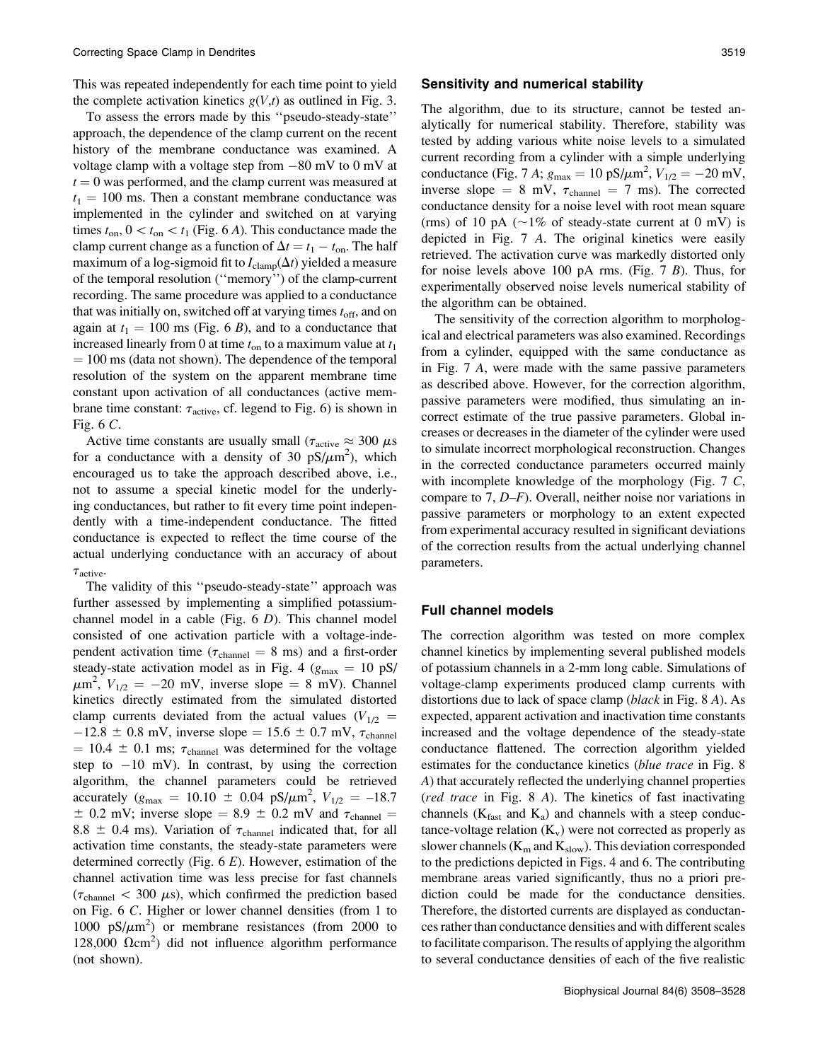This was repeated independently for each time point to yield the complete activation kinetics  $g(V,t)$  as outlined in Fig. 3.

To assess the errors made by this ''pseudo-steady-state'' approach, the dependence of the clamp current on the recent history of the membrane conductance was examined. A voltage clamp with a voltage step from  $-80$  mV to 0 mV at  $t = 0$  was performed, and the clamp current was measured at  $t_1 = 100$  ms. Then a constant membrane conductance was implemented in the cylinder and switched on at varying times  $t_{on}$ ,  $0 < t_{on} < t_1$  (Fig. 6 A). This conductance made the clamp current change as a function of  $\Delta t = t_1 - t_{\text{on}}$ . The half maximum of a log-sigmoid fit to  $I_{\text{clamp}}(\Delta t)$  yielded a measure of the temporal resolution (''memory'') of the clamp-current recording. The same procedure was applied to a conductance that was initially on, switched off at varying times  $t_{\text{off}}$ , and on again at  $t_1 = 100$  ms (Fig. 6 B), and to a conductance that increased linearly from 0 at time  $t_{on}$  to a maximum value at  $t_1$  $= 100$  ms (data not shown). The dependence of the temporal resolution of the system on the apparent membrane time constant upon activation of all conductances (active membrane time constant:  $\tau_{\text{active}}$ , cf. legend to Fig. 6) is shown in Fig. 6 C.

Active time constants are usually small ( $\tau_{\text{active}} \approx 300 \ \mu s$ for a conductance with a density of 30  $pS/\mu m^2$ ), which encouraged us to take the approach described above, i.e., not to assume a special kinetic model for the underlying conductances, but rather to fit every time point independently with a time-independent conductance. The fitted conductance is expected to reflect the time course of the actual underlying conductance with an accuracy of about  $\tau_{\text{active}}$ .

The validity of this ''pseudo-steady-state'' approach was further assessed by implementing a simplified potassiumchannel model in a cable (Fig.  $6$  D). This channel model consisted of one activation particle with a voltage-independent activation time ( $\tau_{channel} = 8$  ms) and a first-order steady-state activation model as in Fig. 4 ( $g_{\text{max}} = 10 \text{ pS/m}$ )  $\mu$ m<sup>2</sup>,  $V_{1/2} = -20$  mV, inverse slope = 8 mV). Channel kinetics directly estimated from the simulated distorted clamp currents deviated from the actual values  $(V_{1/2}$  =  $-12.8 \pm 0.8$  mV, inverse slope = 15.6  $\pm$  0.7 mV,  $\tau_{channel}$  $= 10.4 \pm 0.1$  ms;  $\tau_{channel}$  was determined for the voltage step to  $-10$  mV). In contrast, by using the correction algorithm, the channel parameters could be retrieved accurately ( $g_{\text{max}} = 10.10 \pm 0.04 \text{ pS/\mu m}^2$ ,  $V_{1/2} = -18.7$  $\pm$  0.2 mV; inverse slope = 8.9  $\pm$  0.2 mV and  $\tau_{channel}$  = 8.8  $\pm$  0.4 ms). Variation of  $\tau_{channel}$  indicated that, for all activation time constants, the steady-state parameters were determined correctly (Fig.  $6 E$ ). However, estimation of the channel activation time was less precise for fast channels  $(\tau_{channel} < 300 \mu s)$ , which confirmed the prediction based on Fig. 6 C. Higher or lower channel densities (from 1 to 1000  $pS/\mu m^2$ ) or membrane resistances (from 2000 to 128,000  $\Omega$ cm<sup>2</sup>) did not influence algorithm performance (not shown).

#### Sensitivity and numerical stability

The algorithm, due to its structure, cannot be tested analytically for numerical stability. Therefore, stability was tested by adding various white noise levels to a simulated current recording from a cylinder with a simple underlying conductance (Fig. 7 A;  $g_{\text{max}} = 10 \text{ pS/m}^2$ ,  $V_{1/2} = -20 \text{ mV}$ , inverse slope = 8 mV,  $\tau_{channel}$  = 7 ms). The corrected conductance density for a noise level with root mean square (rms) of 10 pA ( $\sim$ 1% of steady-state current at 0 mV) is depicted in Fig. 7 A. The original kinetics were easily retrieved. The activation curve was markedly distorted only for noise levels above 100 pA rms. (Fig.  $7 B$ ). Thus, for experimentally observed noise levels numerical stability of the algorithm can be obtained.

The sensitivity of the correction algorithm to morphological and electrical parameters was also examined. Recordings from a cylinder, equipped with the same conductance as in Fig. 7 A, were made with the same passive parameters as described above. However, for the correction algorithm, passive parameters were modified, thus simulating an incorrect estimate of the true passive parameters. Global increases or decreases in the diameter of the cylinder were used to simulate incorrect morphological reconstruction. Changes in the corrected conductance parameters occurred mainly with incomplete knowledge of the morphology (Fig.  $7 \, \text{C}$ , compare to 7, D–F). Overall, neither noise nor variations in passive parameters or morphology to an extent expected from experimental accuracy resulted in significant deviations of the correction results from the actual underlying channel parameters.

#### Full channel models

The correction algorithm was tested on more complex channel kinetics by implementing several published models of potassium channels in a 2-mm long cable. Simulations of voltage-clamp experiments produced clamp currents with distortions due to lack of space clamp (black in Fig. 8 A). As expected, apparent activation and inactivation time constants increased and the voltage dependence of the steady-state conductance flattened. The correction algorithm yielded estimates for the conductance kinetics (blue trace in Fig. 8) A) that accurately reflected the underlying channel properties (red trace in Fig. 8 A). The kinetics of fast inactivating channels ( $K_{\text{fast}}$  and  $K_{\text{a}}$ ) and channels with a steep conductance-voltage relation  $(K_v)$  were not corrected as properly as slower channels ( $K_m$  and  $K_{slow}$ ). This deviation corresponded to the predictions depicted in Figs. 4 and 6. The contributing membrane areas varied significantly, thus no a priori prediction could be made for the conductance densities. Therefore, the distorted currents are displayed as conductances rather than conductance densities and with different scales to facilitate comparison. The results of applying the algorithm to several conductance densities of each of the five realistic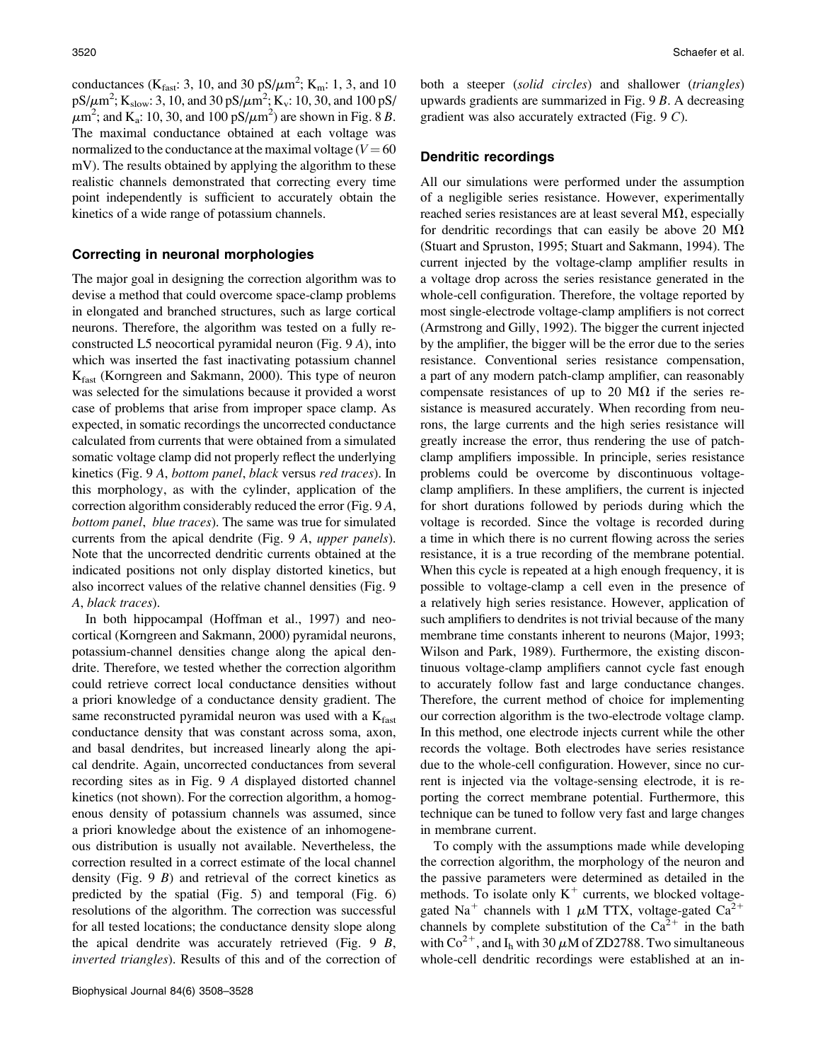conductances ( $K_{\text{fast}}$ : 3, 10, and 30 pS/ $\mu$ m<sup>2</sup>;  $K_{\text{m}}$ : 1, 3, and 10  $pS/\mu m^2$ ; K<sub>slow</sub>: 3, 10, and 30 pS/ $\mu m^2$ ; K<sub>v</sub>: 10, 30, and 100 pS/  $\mu$ m<sup>2</sup>; and K<sub>a</sub>: 10, 30, and 100 pS/ $\mu$ m<sup>2</sup>) are shown in Fig. 8 B. The maximal conductance obtained at each voltage was normalized to the conductance at the maximal voltage  $(V = 60$ mV). The results obtained by applying the algorithm to these realistic channels demonstrated that correcting every time point independently is sufficient to accurately obtain the kinetics of a wide range of potassium channels.

## Correcting in neuronal morphologies

The major goal in designing the correction algorithm was to devise a method that could overcome space-clamp problems in elongated and branched structures, such as large cortical neurons. Therefore, the algorithm was tested on a fully reconstructed L5 neocortical pyramidal neuron (Fig. 9 A), into which was inserted the fast inactivating potassium channel Kfast (Korngreen and Sakmann, 2000). This type of neuron was selected for the simulations because it provided a worst case of problems that arise from improper space clamp. As expected, in somatic recordings the uncorrected conductance calculated from currents that were obtained from a simulated somatic voltage clamp did not properly reflect the underlying kinetics (Fig. 9 A, bottom panel, black versus red traces). In this morphology, as with the cylinder, application of the correction algorithm considerably reduced the error (Fig. 9 A, bottom panel, blue traces). The same was true for simulated currents from the apical dendrite (Fig. 9 A, upper panels). Note that the uncorrected dendritic currents obtained at the indicated positions not only display distorted kinetics, but also incorrect values of the relative channel densities (Fig. 9 A, black traces).

In both hippocampal (Hoffman et al., 1997) and neocortical (Korngreen and Sakmann, 2000) pyramidal neurons, potassium-channel densities change along the apical dendrite. Therefore, we tested whether the correction algorithm could retrieve correct local conductance densities without a priori knowledge of a conductance density gradient. The same reconstructed pyramidal neuron was used with a  $K<sub>fast</sub>$ conductance density that was constant across soma, axon, and basal dendrites, but increased linearly along the apical dendrite. Again, uncorrected conductances from several recording sites as in Fig. 9 A displayed distorted channel kinetics (not shown). For the correction algorithm, a homogenous density of potassium channels was assumed, since a priori knowledge about the existence of an inhomogeneous distribution is usually not available. Nevertheless, the correction resulted in a correct estimate of the local channel density (Fig.  $9 \ B$ ) and retrieval of the correct kinetics as predicted by the spatial (Fig. 5) and temporal (Fig. 6) resolutions of the algorithm. The correction was successful for all tested locations; the conductance density slope along the apical dendrite was accurately retrieved (Fig. 9 B, inverted triangles). Results of this and of the correction of both a steeper (solid circles) and shallower (triangles) upwards gradients are summarized in Fig. 9 B. A decreasing gradient was also accurately extracted (Fig. 9 C).

## Dendritic recordings

All our simulations were performed under the assumption of a negligible series resistance. However, experimentally reached series resistances are at least several  $M\Omega$ , especially for dendritic recordings that can easily be above 20  $\text{M}\Omega$ (Stuart and Spruston, 1995; Stuart and Sakmann, 1994). The current injected by the voltage-clamp amplifier results in a voltage drop across the series resistance generated in the whole-cell configuration. Therefore, the voltage reported by most single-electrode voltage-clamp amplifiers is not correct (Armstrong and Gilly, 1992). The bigger the current injected by the amplifier, the bigger will be the error due to the series resistance. Conventional series resistance compensation, a part of any modern patch-clamp amplifier, can reasonably compensate resistances of up to 20 M $\Omega$  if the series resistance is measured accurately. When recording from neurons, the large currents and the high series resistance will greatly increase the error, thus rendering the use of patchclamp amplifiers impossible. In principle, series resistance problems could be overcome by discontinuous voltageclamp amplifiers. In these amplifiers, the current is injected for short durations followed by periods during which the voltage is recorded. Since the voltage is recorded during a time in which there is no current flowing across the series resistance, it is a true recording of the membrane potential. When this cycle is repeated at a high enough frequency, it is possible to voltage-clamp a cell even in the presence of a relatively high series resistance. However, application of such amplifiers to dendrites is not trivial because of the many membrane time constants inherent to neurons (Major, 1993; Wilson and Park, 1989). Furthermore, the existing discontinuous voltage-clamp amplifiers cannot cycle fast enough to accurately follow fast and large conductance changes. Therefore, the current method of choice for implementing our correction algorithm is the two-electrode voltage clamp. In this method, one electrode injects current while the other records the voltage. Both electrodes have series resistance due to the whole-cell configuration. However, since no current is injected via the voltage-sensing electrode, it is reporting the correct membrane potential. Furthermore, this technique can be tuned to follow very fast and large changes in membrane current.

To comply with the assumptions made while developing the correction algorithm, the morphology of the neuron and the passive parameters were determined as detailed in the methods. To isolate only  $K^+$  currents, we blocked voltagegated Na<sup>+</sup> channels with 1  $\mu$ M TTX, voltage-gated Ca<sup>2+</sup> channels by complete substitution of the  $Ca^{2+}$  in the bath with  $\text{Co}^{2+}$ , and I<sub>h</sub> with 30  $\mu$ M of ZD2788. Two simultaneous whole-cell dendritic recordings were established at an in-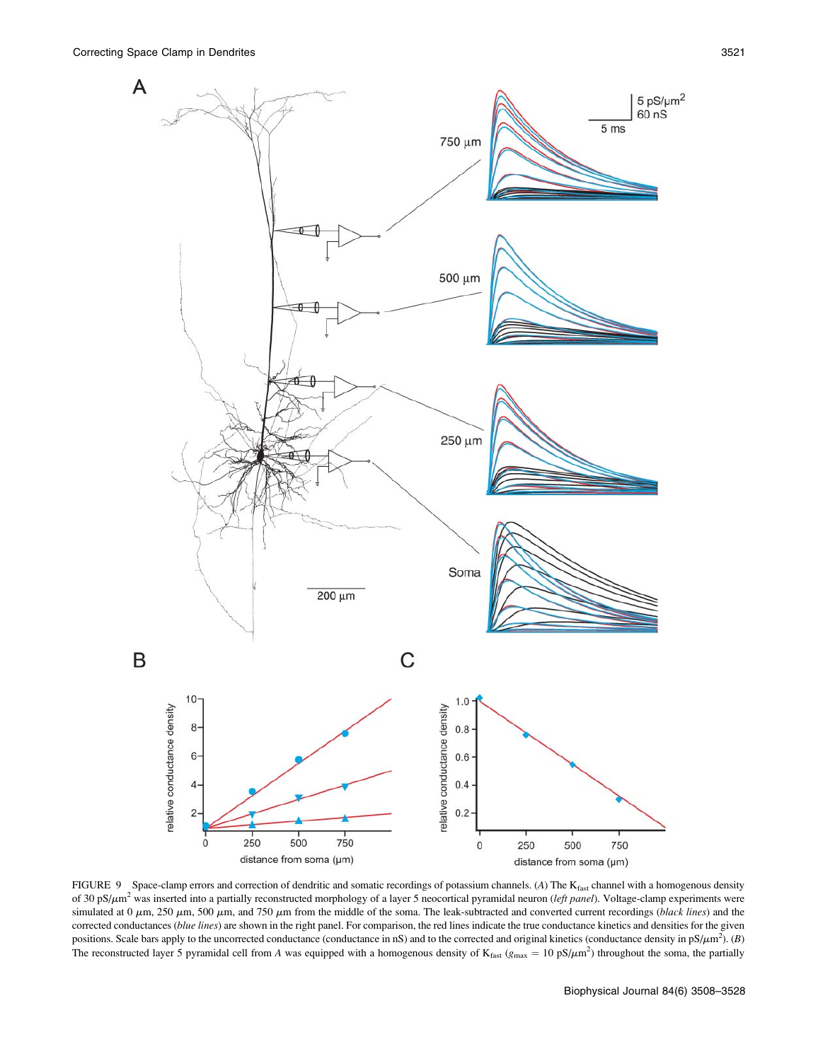

FIGURE 9 Space-clamp errors and correction of dendritic and somatic recordings of potassium channels. (A) The Kfast channel with a homogenous density of 30 pS/ $\mu$ m<sup>2</sup> was inserted into a partially reconstructed morphology of a layer 5 neocortical pyramidal neuron (left panel). Voltage-clamp experiments were simulated at  $0 \mu$ m, 250  $\mu$ m, 500  $\mu$ m, and 750  $\mu$ m from the middle of the soma. The leak-subtracted and converted current recordings (black lines) and the corrected conductances (blue lines) are shown in the right panel. For comparison, the red lines indicate the true conductance kinetics and densities for the given positions. Scale bars apply to the uncorrected conductance (conductance in nS) and to the corrected and original kinetics (conductance density in  $pS/\mu m^2$ ). (B) The reconstructed layer 5 pyramidal cell from A was equipped with a homogenous density of  $K_{\text{fast}}(g_{\text{max}} = 10 \text{ pS}/\mu\text{m}^2)$  throughout the soma, the partially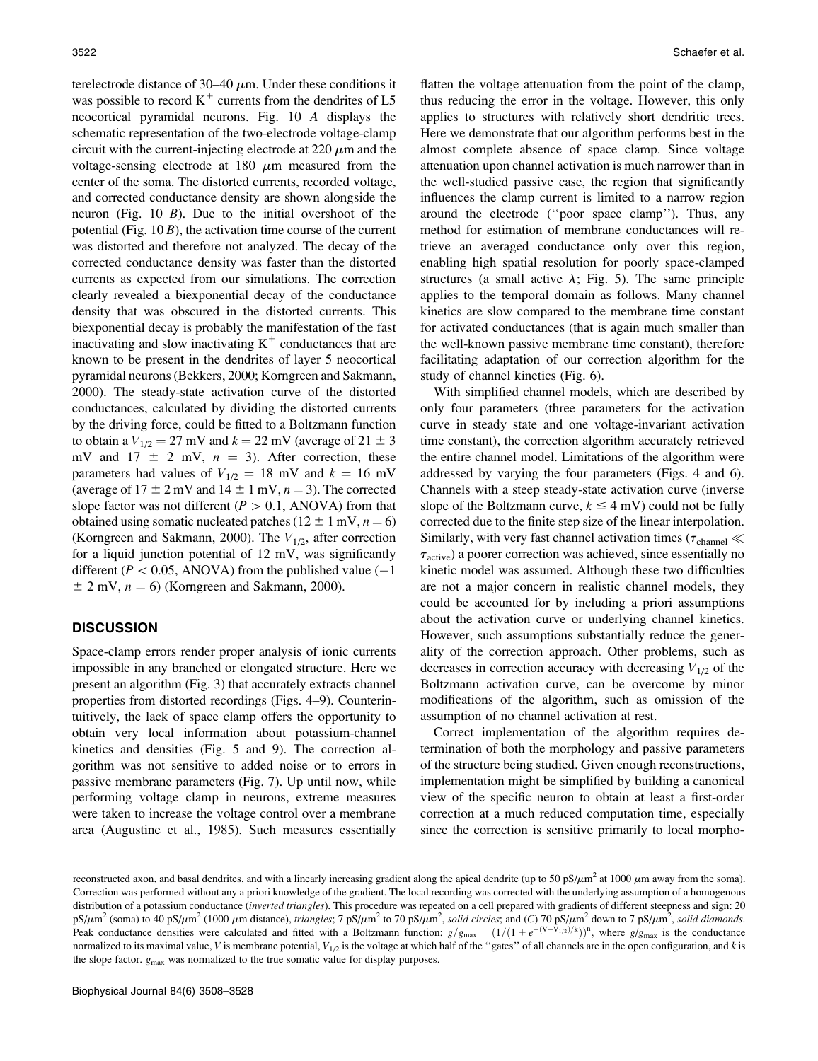terelectrode distance of  $30-40 \mu m$ . Under these conditions it was possible to record  $K^+$  currents from the dendrites of L5 neocortical pyramidal neurons. Fig. 10 A displays the schematic representation of the two-electrode voltage-clamp circuit with the current-injecting electrode at  $220 \mu m$  and the voltage-sensing electrode at 180  $\mu$ m measured from the center of the soma. The distorted currents, recorded voltage, and corrected conductance density are shown alongside the neuron (Fig.  $10 \, B$ ). Due to the initial overshoot of the potential (Fig.  $10 B$ ), the activation time course of the current was distorted and therefore not analyzed. The decay of the corrected conductance density was faster than the distorted currents as expected from our simulations. The correction clearly revealed a biexponential decay of the conductance density that was obscured in the distorted currents. This biexponential decay is probably the manifestation of the fast inactivating and slow inactivating  $K^+$  conductances that are known to be present in the dendrites of layer 5 neocortical pyramidal neurons (Bekkers, 2000; Korngreen and Sakmann, 2000). The steady-state activation curve of the distorted conductances, calculated by dividing the distorted currents by the driving force, could be fitted to a Boltzmann function to obtain a  $V_{1/2} = 27$  mV and  $k = 22$  mV (average of  $21 \pm 3$ mV and  $17 \pm 2$  mV,  $n = 3$ ). After correction, these parameters had values of  $V_{1/2} = 18$  mV and  $k = 16$  mV (average of  $17 \pm 2$  mV and  $14 \pm 1$  mV,  $n = 3$ ). The corrected slope factor was not different ( $P > 0.1$ , ANOVA) from that obtained using somatic nucleated patches ( $12 \pm 1$  mV,  $n = 6$ ) (Korngreen and Sakmann, 2000). The  $V_{1/2}$ , after correction for a liquid junction potential of 12 mV, was significantly different ( $P < 0.05$ , ANOVA) from the published value (-1)  $\pm$  2 mV,  $n = 6$ ) (Korngreen and Sakmann, 2000).

# **DISCUSSION**

Space-clamp errors render proper analysis of ionic currents impossible in any branched or elongated structure. Here we present an algorithm (Fig. 3) that accurately extracts channel properties from distorted recordings (Figs. 4–9). Counterintuitively, the lack of space clamp offers the opportunity to obtain very local information about potassium-channel kinetics and densities (Fig. 5 and 9). The correction algorithm was not sensitive to added noise or to errors in passive membrane parameters (Fig. 7). Up until now, while performing voltage clamp in neurons, extreme measures were taken to increase the voltage control over a membrane area (Augustine et al., 1985). Such measures essentially

flatten the voltage attenuation from the point of the clamp, thus reducing the error in the voltage. However, this only applies to structures with relatively short dendritic trees. Here we demonstrate that our algorithm performs best in the almost complete absence of space clamp. Since voltage attenuation upon channel activation is much narrower than in the well-studied passive case, the region that significantly influences the clamp current is limited to a narrow region around the electrode (''poor space clamp''). Thus, any method for estimation of membrane conductances will retrieve an averaged conductance only over this region, enabling high spatial resolution for poorly space-clamped structures (a small active  $\lambda$ ; Fig. 5). The same principle applies to the temporal domain as follows. Many channel kinetics are slow compared to the membrane time constant for activated conductances (that is again much smaller than the well-known passive membrane time constant), therefore facilitating adaptation of our correction algorithm for the study of channel kinetics (Fig. 6).

With simplified channel models, which are described by only four parameters (three parameters for the activation curve in steady state and one voltage-invariant activation time constant), the correction algorithm accurately retrieved the entire channel model. Limitations of the algorithm were addressed by varying the four parameters (Figs. 4 and 6). Channels with a steep steady-state activation curve (inverse slope of the Boltzmann curve,  $k \leq 4$  mV) could not be fully corrected due to the finite step size of the linear interpolation. Similarly, with very fast channel activation times ( $\tau_{channel} \ll$  $\tau_{\text{active}}$ ) a poorer correction was achieved, since essentially no kinetic model was assumed. Although these two difficulties are not a major concern in realistic channel models, they could be accounted for by including a priori assumptions about the activation curve or underlying channel kinetics. However, such assumptions substantially reduce the generality of the correction approach. Other problems, such as decreases in correction accuracy with decreasing  $V_{1/2}$  of the Boltzmann activation curve, can be overcome by minor modifications of the algorithm, such as omission of the assumption of no channel activation at rest.

Correct implementation of the algorithm requires determination of both the morphology and passive parameters of the structure being studied. Given enough reconstructions, implementation might be simplified by building a canonical view of the specific neuron to obtain at least a first-order correction at a much reduced computation time, especially since the correction is sensitive primarily to local morpho-

reconstructed axon, and basal dendrites, and with a linearly increasing gradient along the apical dendrite (up to 50 pS/ $\mu$ m<sup>2</sup> at 1000  $\mu$ m away from the soma). Correction was performed without any a priori knowledge of the gradient. The local recording was corrected with the underlying assumption of a homogenous distribution of a potassium conductance (inverted triangles). This procedure was repeated on a cell prepared with gradients of different steepness and sign: 20 pS/ $\mu$ m<sup>2</sup> (soma) to 40 pS/ $\mu$ m<sup>2</sup> (1000  $\mu$ m distance), *triangles*; 7 pS/ $\mu$ m<sup>2</sup> to 70 pS/ $\mu$ m<sup>2</sup>, solid circles; and (C) 70 pS/ $\mu$ m<sup>2</sup> down to 7 pS/ $\mu$ m<sup>2</sup>, solid diamonds. Peak conductance densities were calculated and fitted with a Boltzmann function:  $g/g_{\text{max}} = (1/(1 + e^{-(V-\bar{V}_1/2)})^n)$ , where  $g/g_{\text{max}}$  is the conductance normalized to its maximal value, V is membrane potential,  $V_{1/2}$  is the voltage at which half of the "gates" of all channels are in the open configuration, and k is the slope factor.  $g_{\text{max}}$  was normalized to the true somatic value for display purposes.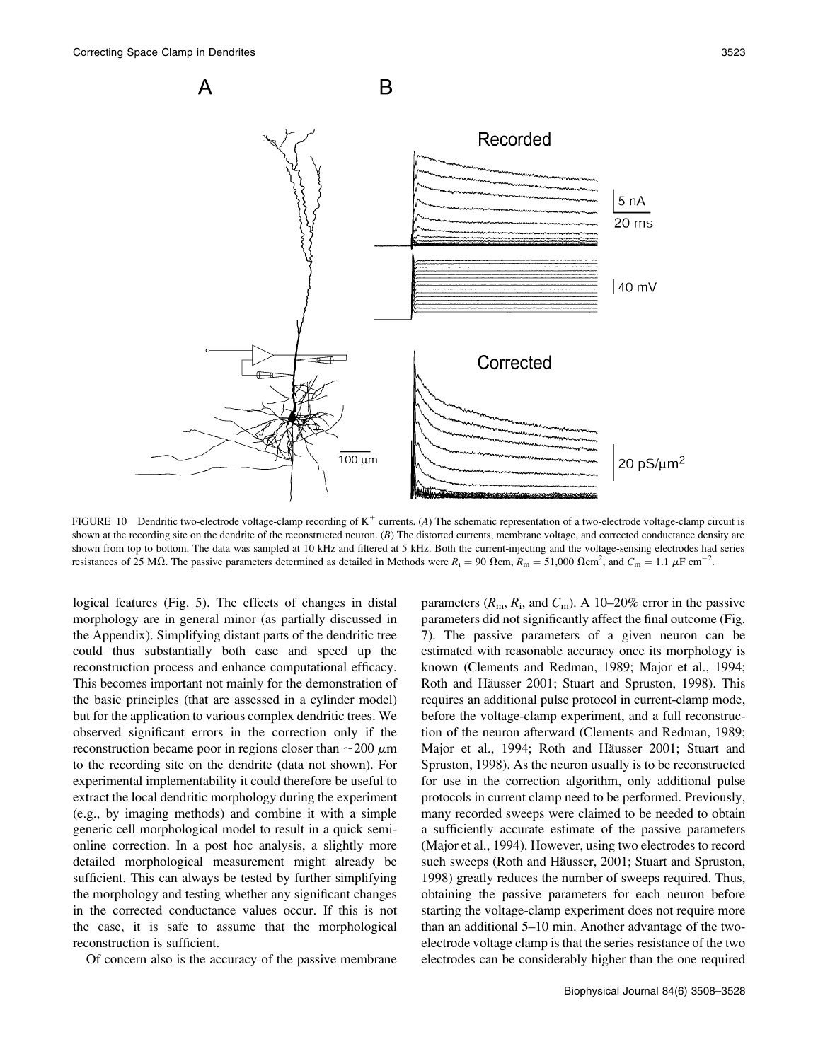

FIGURE 10 Dendritic two-electrode voltage-clamp recording of  $K^+$  currents. (A) The schematic representation of a two-electrode voltage-clamp circuit is shown at the recording site on the dendrite of the reconstructed neuron. (B) The distorted currents, membrane voltage, and corrected conductance density are shown from top to bottom. The data was sampled at 10 kHz and filtered at 5 kHz. Both the current-injecting and the voltage-sensing electrodes had series resistances of 25 M $\Omega$ . The passive parameters determined as detailed in Methods were  $R_i = 90 \Omega \text{cm}$ ,  $R_m = 51,000 \Omega \text{cm}^2$ , and  $C_m = 1.1 \mu \text{F cm}^{-2}$ .

logical features (Fig. 5). The effects of changes in distal morphology are in general minor (as partially discussed in the Appendix). Simplifying distant parts of the dendritic tree could thus substantially both ease and speed up the reconstruction process and enhance computational efficacy. This becomes important not mainly for the demonstration of the basic principles (that are assessed in a cylinder model) but for the application to various complex dendritic trees. We observed significant errors in the correction only if the reconstruction became poor in regions closer than  $\sim$ 200  $\mu$ m to the recording site on the dendrite (data not shown). For experimental implementability it could therefore be useful to extract the local dendritic morphology during the experiment (e.g., by imaging methods) and combine it with a simple generic cell morphological model to result in a quick semionline correction. In a post hoc analysis, a slightly more detailed morphological measurement might already be sufficient. This can always be tested by further simplifying the morphology and testing whether any significant changes in the corrected conductance values occur. If this is not the case, it is safe to assume that the morphological reconstruction is sufficient.

Of concern also is the accuracy of the passive membrane

parameters  $(R_m, R_i,$  and  $C_m$ ). A 10–20% error in the passive parameters did not significantly affect the final outcome (Fig. 7). The passive parameters of a given neuron can be estimated with reasonable accuracy once its morphology is known (Clements and Redman, 1989; Major et al., 1994; Roth and Häusser 2001; Stuart and Spruston, 1998). This requires an additional pulse protocol in current-clamp mode, before the voltage-clamp experiment, and a full reconstruction of the neuron afterward (Clements and Redman, 1989; Major et al., 1994; Roth and Häusser 2001; Stuart and Spruston, 1998). As the neuron usually is to be reconstructed for use in the correction algorithm, only additional pulse protocols in current clamp need to be performed. Previously, many recorded sweeps were claimed to be needed to obtain a sufficiently accurate estimate of the passive parameters (Major et al., 1994). However, using two electrodes to record such sweeps (Roth and Häusser, 2001; Stuart and Spruston, 1998) greatly reduces the number of sweeps required. Thus, obtaining the passive parameters for each neuron before starting the voltage-clamp experiment does not require more than an additional 5–10 min. Another advantage of the twoelectrode voltage clamp is that the series resistance of the two electrodes can be considerably higher than the one required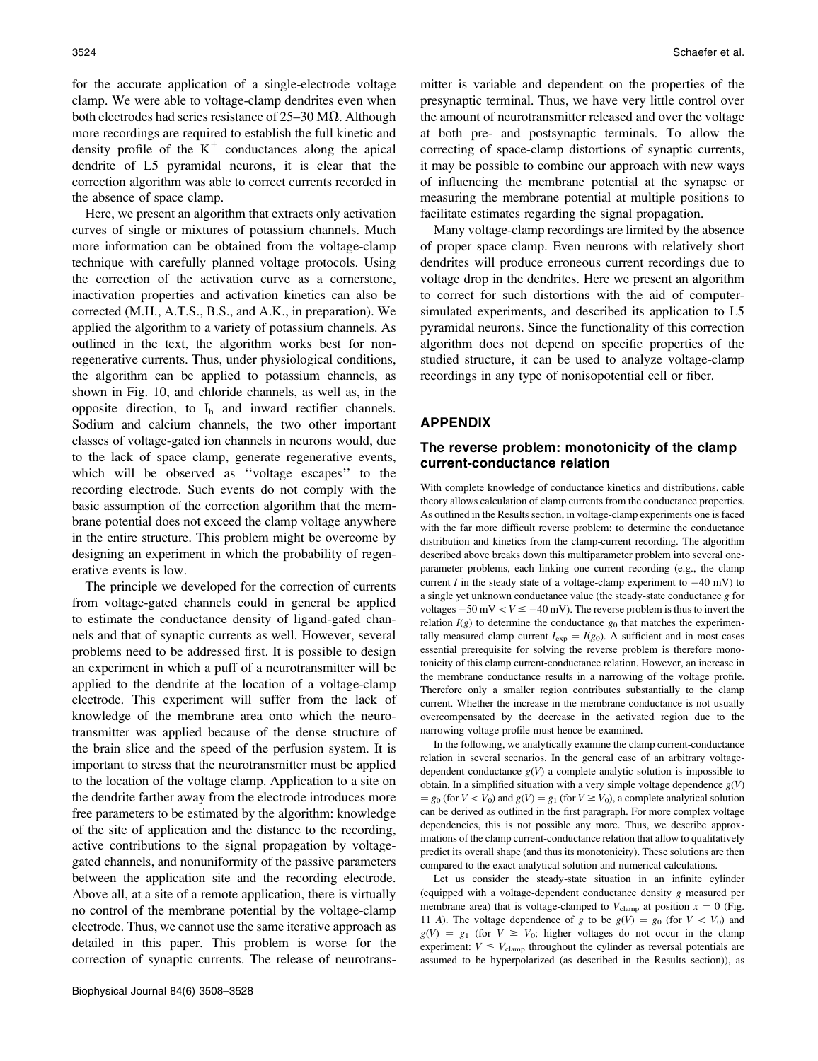for the accurate application of a single-electrode voltage clamp. We were able to voltage-clamp dendrites even when both electrodes had series resistance of  $25-30 \text{ M}\Omega$ . Although more recordings are required to establish the full kinetic and density profile of the  $K^+$  conductances along the apical dendrite of L5 pyramidal neurons, it is clear that the correction algorithm was able to correct currents recorded in the absence of space clamp.

Here, we present an algorithm that extracts only activation curves of single or mixtures of potassium channels. Much more information can be obtained from the voltage-clamp technique with carefully planned voltage protocols. Using the correction of the activation curve as a cornerstone, inactivation properties and activation kinetics can also be corrected (M.H., A.T.S., B.S., and A.K., in preparation). We applied the algorithm to a variety of potassium channels. As outlined in the text, the algorithm works best for nonregenerative currents. Thus, under physiological conditions, the algorithm can be applied to potassium channels, as shown in Fig. 10, and chloride channels, as well as, in the opposite direction, to  $I_h$  and inward rectifier channels. Sodium and calcium channels, the two other important classes of voltage-gated ion channels in neurons would, due to the lack of space clamp, generate regenerative events, which will be observed as ''voltage escapes'' to the recording electrode. Such events do not comply with the basic assumption of the correction algorithm that the membrane potential does not exceed the clamp voltage anywhere in the entire structure. This problem might be overcome by designing an experiment in which the probability of regenerative events is low.

The principle we developed for the correction of currents from voltage-gated channels could in general be applied to estimate the conductance density of ligand-gated channels and that of synaptic currents as well. However, several problems need to be addressed first. It is possible to design an experiment in which a puff of a neurotransmitter will be applied to the dendrite at the location of a voltage-clamp electrode. This experiment will suffer from the lack of knowledge of the membrane area onto which the neurotransmitter was applied because of the dense structure of the brain slice and the speed of the perfusion system. It is important to stress that the neurotransmitter must be applied to the location of the voltage clamp. Application to a site on the dendrite farther away from the electrode introduces more free parameters to be estimated by the algorithm: knowledge of the site of application and the distance to the recording, active contributions to the signal propagation by voltagegated channels, and nonuniformity of the passive parameters between the application site and the recording electrode. Above all, at a site of a remote application, there is virtually no control of the membrane potential by the voltage-clamp electrode. Thus, we cannot use the same iterative approach as detailed in this paper. This problem is worse for the correction of synaptic currents. The release of neurotransmitter is variable and dependent on the properties of the presynaptic terminal. Thus, we have very little control over the amount of neurotransmitter released and over the voltage at both pre- and postsynaptic terminals. To allow the correcting of space-clamp distortions of synaptic currents, it may be possible to combine our approach with new ways of influencing the membrane potential at the synapse or measuring the membrane potential at multiple positions to facilitate estimates regarding the signal propagation.

Many voltage-clamp recordings are limited by the absence of proper space clamp. Even neurons with relatively short dendrites will produce erroneous current recordings due to voltage drop in the dendrites. Here we present an algorithm to correct for such distortions with the aid of computersimulated experiments, and described its application to L5 pyramidal neurons. Since the functionality of this correction algorithm does not depend on specific properties of the studied structure, it can be used to analyze voltage-clamp recordings in any type of nonisopotential cell or fiber.

#### APPENDIX

# The reverse problem: monotonicity of the clamp current-conductance relation

With complete knowledge of conductance kinetics and distributions, cable theory allows calculation of clamp currents from the conductance properties. As outlined in the Results section, in voltage-clamp experiments one is faced with the far more difficult reverse problem: to determine the conductance distribution and kinetics from the clamp-current recording. The algorithm described above breaks down this multiparameter problem into several oneparameter problems, each linking one current recording (e.g., the clamp current I in the steady state of a voltage-clamp experiment to  $-40$  mV) to a single yet unknown conductance value (the steady-state conductance g for voltages  $-50$  mV  $\lt V \le -40$  mV). The reverse problem is thus to invert the relation  $I(g)$  to determine the conductance  $g_0$  that matches the experimentally measured clamp current  $I_{\text{exp}} = I(g_0)$ . A sufficient and in most cases essential prerequisite for solving the reverse problem is therefore monotonicity of this clamp current-conductance relation. However, an increase in the membrane conductance results in a narrowing of the voltage profile. Therefore only a smaller region contributes substantially to the clamp current. Whether the increase in the membrane conductance is not usually overcompensated by the decrease in the activated region due to the narrowing voltage profile must hence be examined.

In the following, we analytically examine the clamp current-conductance relation in several scenarios. In the general case of an arbitrary voltagedependent conductance  $g(V)$  a complete analytic solution is impossible to obtain. In a simplified situation with a very simple voltage dependence  $g(V)$  $= g_0$  (for  $V \lt V_0$ ) and  $g(V) = g_1$  (for  $V \ge V_0$ ), a complete analytical solution can be derived as outlined in the first paragraph. For more complex voltage dependencies, this is not possible any more. Thus, we describe approximations of the clamp current-conductance relation that allow to qualitatively predict its overall shape (and thus its monotonicity). These solutions are then compared to the exact analytical solution and numerical calculations.

Let us consider the steady-state situation in an infinite cylinder (equipped with a voltage-dependent conductance density g measured per membrane area) that is voltage-clamped to  $V_{\text{clamp}}$  at position  $x = 0$  (Fig. 11 A). The voltage dependence of g to be  $g(V) = g_0$  (for  $V < V_0$ ) and  $g(V) = g_1$  (for  $V \ge V_0$ ; higher voltages do not occur in the clamp experiment:  $V \leq V_{\text{clamp}}$  throughout the cylinder as reversal potentials are assumed to be hyperpolarized (as described in the Results section)), as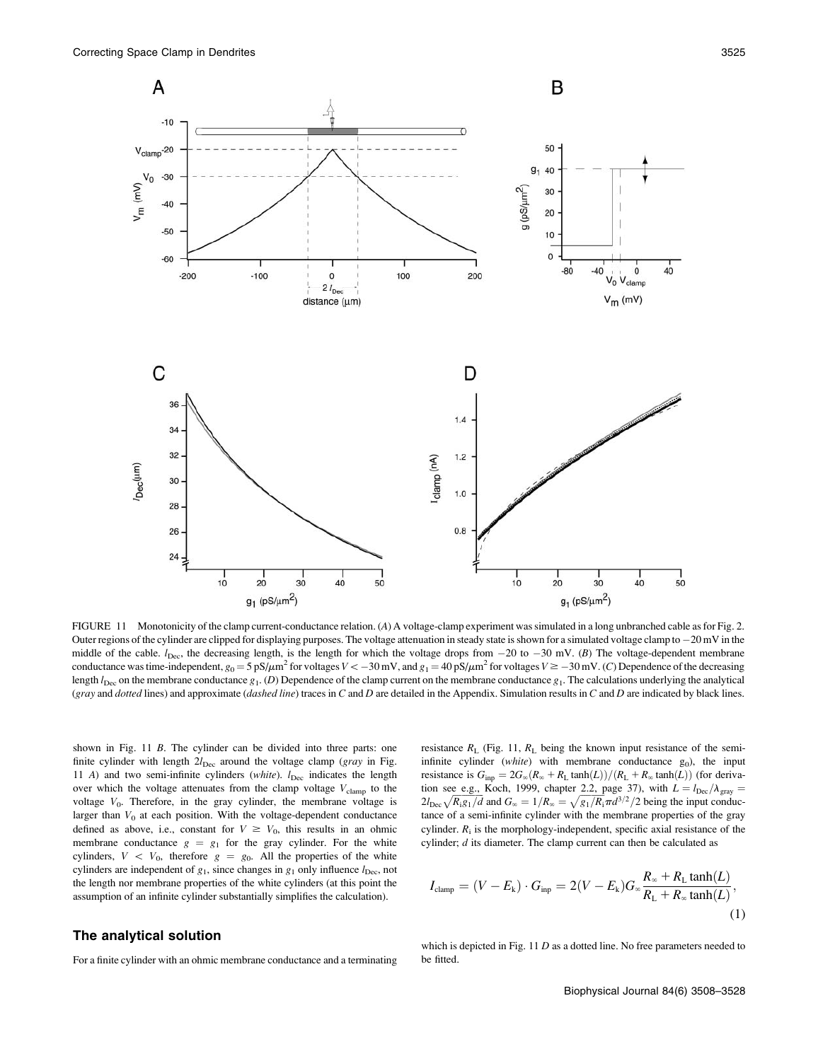

FIGURE 11 Monotonicity of the clamp current-conductance relation. (A) A voltage-clamp experiment was simulated in a long unbranched cable as for Fig. 2. Outer regions of the cylinder are clipped for displaying purposes. The voltage attenuation in steady state is shown for a simulated voltage clamp to  $-20$  mV in the middle of the cable.  $l_{\text{Dec}}$ , the decreasing length, is the length for which the voltage drops from  $-20$  to  $-30$  mV. (B) The voltage-dependent membrane conductance was time-independent,  $g_0 = 5 \text{ pS}/\mu\text{m}^2$  for voltages  $V < -30 \text{ mV}$ , and  $g_1 = 40 \text{ pS}/\mu\text{m}^2$  for voltages  $V \ge -30 \text{ mV}$ . (C) Dependence of the decreasing length  $l_{\text{Dec}}$  on the membrane conductance  $g_1$ . (D) Dependence of the clamp current on the membrane conductance  $g_1$ . The calculations underlying the analytical (gray and dotted lines) and approximate (dashed line) traces in  $C$  and  $D$  are detailed in the Appendix. Simulation results in  $C$  and  $D$  are indicated by black lines.

shown in Fig. 11 B. The cylinder can be divided into three parts: one finite cylinder with length  $2l_{Dec}$  around the voltage clamp (gray in Fig. 11 A) and two semi-infinite cylinders (white).  $l_{\text{Dec}}$  indicates the length over which the voltage attenuates from the clamp voltage  $V_{\text{clamp}}$  to the voltage  $V_0$ . Therefore, in the gray cylinder, the membrane voltage is larger than  $V_0$  at each position. With the voltage-dependent conductance defined as above, i.e., constant for  $V \ge V_0$ , this results in an ohmic membrane conductance  $g = g_1$  for the gray cylinder. For the white cylinders,  $V \, \langle V_0, \rangle$  therefore  $g = g_0$ . All the properties of the white cylinders are independent of  $g_1$ , since changes in  $g_1$  only influence  $l_{\text{Dec}}$ , not the length nor membrane properties of the white cylinders (at this point the assumption of an infinite cylinder substantially simplifies the calculation).

resistance  $R_L$  (Fig. 11,  $R_L$  being the known input resistance of the semiinfinite cylinder (white) with membrane conductance  $g_0$ ), the input resistance is  $G_{\text{inp}} = 2G_{\infty}(R_{\infty} + R_{\text{L}} \tanh(L))/(R_{\text{L}} + R_{\infty} \tanh(L))$  (for derivation see e.g., Koch, 1999, chapter 2.2, page 37), with  $L = l_{\text{Dec}}/\lambda_{\text{gray}} =$  $2l_{\text{Dec}}\sqrt{R_{\text{i}}g_1/d}$  and  $G_{\infty} = 1/R_{\infty} = \sqrt{g_1/R_{\text{i}}} \pi d^{3/2}/2$  being the input conductance of a semi-infinite cylinder with the membrane properties of the gray cylinder.  $R_i$  is the morphology-independent, specific axial resistance of the cylinder; d its diameter. The clamp current can then be calculated as

$$
I_{\text{clamp}} = (V - E_{\text{k}}) \cdot G_{\text{inp}} = 2(V - E_{\text{k}})G_{\infty} \frac{R_{\infty} + R_{\text{L}} \tanh(L)}{R_{\text{L}} + R_{\infty} \tanh(L)},\tag{1}
$$

## The analytical solution

For a finite cylinder with an ohmic membrane conductance and a terminating

which is depicted in Fig.  $11 D$  as a dotted line. No free parameters needed to be fitted.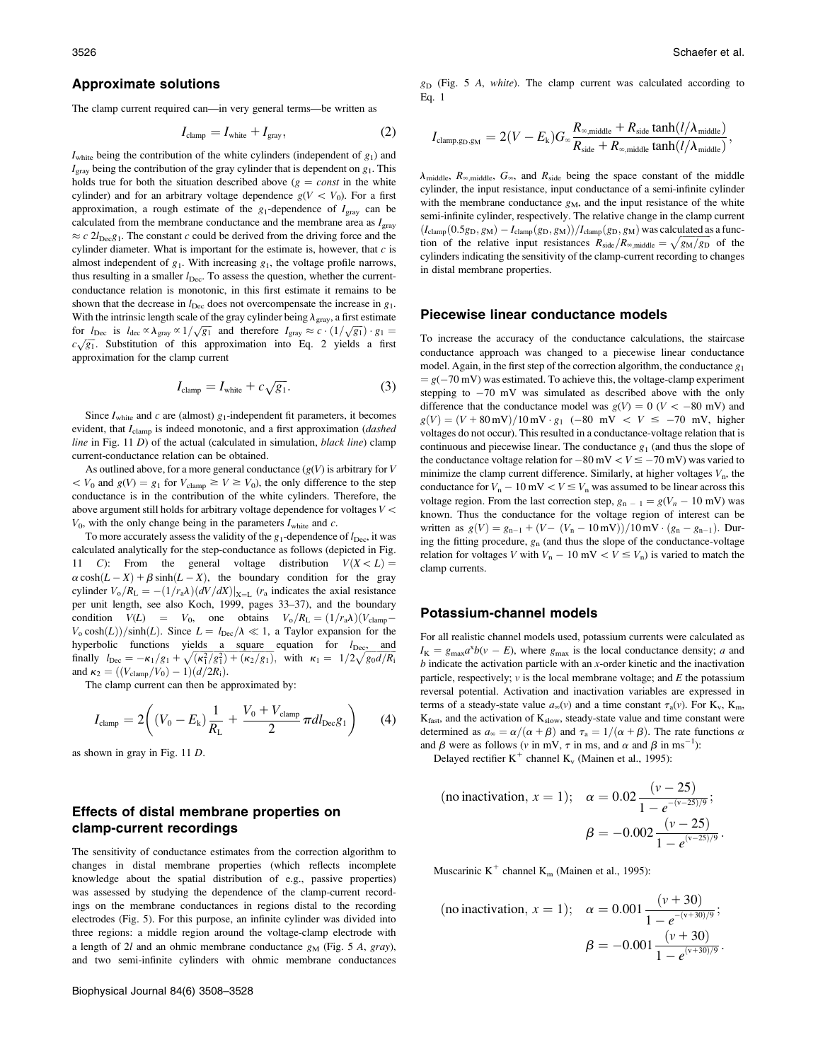#### Approximate solutions

The clamp current required can—in very general terms—be written as

$$
I_{\text{clamp}} = I_{\text{white}} + I_{\text{gray}},\tag{2}
$$

 $I_{white}$  being the contribution of the white cylinders (independent of  $g_1$ ) and  $I_{\text{gray}}$  being the contribution of the gray cylinder that is dependent on  $g_1$ . This holds true for both the situation described above  $(g = const$  in the white cylinder) and for an arbitrary voltage dependence  $g(V < V_0)$ . For a first approximation, a rough estimate of the  $g_1$ -dependence of  $I_{\text{gray}}$  can be calculated from the membrane conductance and the membrane area as  $I<sub>gray</sub>$  $\approx c$  2l<sub>Dec</sub>g<sub>1</sub>. The constant c could be derived from the driving force and the cylinder diameter. What is important for the estimate is, however, that  $c$  is almost independent of  $g_1$ . With increasing  $g_1$ , the voltage profile narrows, thus resulting in a smaller  $l_{\text{Dec}}$ . To assess the question, whether the currentconductance relation is monotonic, in this first estimate it remains to be shown that the decrease in  $l_{\text{Dec}}$  does not overcompensate the increase in  $g_1$ . With the intrinsic length scale of the gray cylinder being  $\lambda_{\text{gray}}$ , a first estimate For  $l_{\text{Dec}}$  is  $l_{\text{dec}} \propto \lambda_{\text{gray}} \propto 1/\sqrt{g_1}$  and therefore  $I_{\text{gray}} \approx c \cdot (1/\sqrt{g_1}) \cdot g_1 =$  $c\sqrt{g_1}$ . Substitution of this approximation into Eq. 2 yields a first approximation for the clamp current

$$
I_{\text{clamp}} = I_{\text{white}} + c\sqrt{g_1}.
$$
 (3)

Since  $I_{white}$  and c are (almost)  $g_1$ -independent fit parameters, it becomes evident, that I<sub>clamp</sub> is indeed monotonic, and a first approximation (dashed line in Fig.  $11 D$ ) of the actual (calculated in simulation, black line) clamp current-conductance relation can be obtained.

As outlined above, for a more general conductance  $(g(V))$  is arbitrary for V  $\langle V_0$  and  $g(V) = g_1$  for  $V_{\text{clamp}} \ge V \ge V_0$ ), the only difference to the step conductance is in the contribution of the white cylinders. Therefore, the above argument still holds for arbitrary voltage dependence for voltages  $V\,{<}\,$  $V_0$ , with the only change being in the parameters  $I_{white}$  and  $c$ .

To more accurately assess the validity of the  $g_1$ -dependence of  $l_{\text{Dec}}$ , it was calculated analytically for the step-conductance as follows (depicted in Fig. 11 C): From the general voltage distribution  $V(X < L) =$  $\alpha \cosh(L - X) + \beta \sinh(L - X)$ , the boundary condition for the gray cylinder  $V_0/R_L = -(1/r_a\lambda)(dV/dX)|_{X=L}$  (r<sub>a</sub> indicates the axial resistance per unit length, see also Koch, 1999, pages 33–37), and the boundary condition  $V(L) = V_0$ , one obtains  $V_0/R_L = (1/r_a\lambda)(V_{\text{clamp}} V_0 \cosh(L)/\sinh(L)$ . Since  $L = l_{\text{Dec}}/\lambda \ll 1$ , a Taylor expansion for the hyperbolic functions yields a square equation for  $l_{\text{Dec}}$ , and finally  $l_{\text{Dec}} = -\kappa_1/g_1 + \sqrt{(\kappa_1^2/g_1^2) + (\kappa_2/g_1)}$ , with  $\kappa_1 = 1/2\sqrt{g_0d/R_1}$ and  $\kappa_2 = ((V_{\text{clamp}}/V_0) - 1)(d/2R_i)$ .

The clamp current can then be approximated by:

$$
I_{\text{clamp}} = 2\left((V_0 - E_k)\frac{1}{R_{\text{L}}} + \frac{V_0 + V_{\text{clamp}}}{2}\pi dl_{\text{Dec}}g_1\right) \tag{4}
$$

as shown in gray in Fig. 11 D.

# Effects of distal membrane properties on clamp-current recordings

The sensitivity of conductance estimates from the correction algorithm to changes in distal membrane properties (which reflects incomplete knowledge about the spatial distribution of e.g., passive properties) was assessed by studying the dependence of the clamp-current recordings on the membrane conductances in regions distal to the recording electrodes (Fig. 5). For this purpose, an infinite cylinder was divided into three regions: a middle region around the voltage-clamp electrode with a length of 2l and an ohmic membrane conductance  $g_M$  (Fig. 5 A, gray), and two semi-infinite cylinders with ohmic membrane conductances  $g_D$  (Fig. 5 A, white). The clamp current was calculated according to Eq. 1

$$
I_{\text{clamp},g_{\text{D}},g_{\text{M}}} = 2(V - E_{k})G_{\infty}\frac{R_{\infty,\text{middle}} + R_{\text{side}}\tanh(l/\lambda_{\text{middle}})}{R_{\text{side}} + R_{\infty,\text{middle}}\tanh(l/\lambda_{\text{middle}})},
$$

 $\lambda_{\text{middle}}$ ,  $R_{\infty, \text{middle}}$ ,  $G_{\infty}$ , and  $R_{\text{side}}$  being the space constant of the middle cylinder, the input resistance, input conductance of a semi-infinite cylinder with the membrane conductance  $g_M$ , and the input resistance of the white semi-infinite cylinder, respectively. The relative change in the clamp current  $(I_{\text{clamp}}(0.5g_D, g_M) - I_{\text{clamp}}(g_D, g_M))/I_{\text{clamp}}(g_D, g_M)$  was calculated as a func-(camp( $\sigma$ ,  $S_{\text{BM}}$ )  $\tau$  relative  $\frac{1}{(80\pi)^{3/2}}$  from the relative input resistances  $R_{\text{side}}/R_{\infty,\text{middle}} = \sqrt{g_M/g_D}$  of the cylinders indicating the sensitivity of the clamp-current recording to changes in distal membrane properties.

#### Piecewise linear conductance models

To increase the accuracy of the conductance calculations, the staircase conductance approach was changed to a piecewise linear conductance model. Again, in the first step of the correction algorithm, the conductance  $g_1$  $= g(-70 \text{ mV})$  was estimated. To achieve this, the voltage-clamp experiment stepping to  $-70$  mV was simulated as described above with the only difference that the conductance model was  $g(V) = 0$  ( $V < -80$  mV) and  $g(V) = (V + 80 \text{ mV})/10 \text{ mV} \cdot g_1$  (-80 mV <  $V \le -70 \text{ mV}$ , higher voltages do not occur). This resulted in a conductance-voltage relation that is continuous and piecewise linear. The conductance  $g_1$  (and thus the slope of the conductance voltage relation for  $-80$  mV  $\lt V \le -70$  mV) was varied to minimize the clamp current difference. Similarly, at higher voltages  $V_n$ , the conductance for  $V_n - 10$  mV  $\lt V \le V_n$  was assumed to be linear across this voltage region. From the last correction step,  $g_{n-1} = g(V_n - 10 \text{ mV})$  was known. Thus the conductance for the voltage region of interest can be written as  $g(V) = g_{n-1} + (V - (V_n - 10 \text{ mV}))/10 \text{ mV} \cdot (g_n - g_{n-1})$ . During the fitting procedure,  $g_n$  (and thus the slope of the conductance-voltage relation for voltages V with  $V_n - 10$  mV  $\lt V \le V_n$ ) is varied to match the clamp currents.

#### Potassium-channel models

For all realistic channel models used, potassium currents were calculated as  $I_{\rm K} = g_{\rm max} a^{x} b(v - E)$ , where  $g_{\rm max}$  is the local conductance density; a and  $b$  indicate the activation particle with an  $x$ -order kinetic and the inactivation particle, respectively;  $\nu$  is the local membrane voltage; and  $E$  the potassium reversal potential. Activation and inactivation variables are expressed in terms of a steady-state value  $a_{\infty}(v)$  and a time constant  $\tau_a(v)$ . For K<sub>v</sub>, K<sub>m</sub>,  $K_{\text{fast}}$ , and the activation of  $K_{\text{slow}}$ , steady-state value and time constant were determined as  $a_{\infty} = \alpha/(\alpha + \beta)$  and  $\tau_a = 1/(\alpha + \beta)$ . The rate functions  $\alpha$ and  $\beta$  were as follows (v in mV,  $\tau$  in ms, and  $\alpha$  and  $\beta$  in ms<sup>-1</sup>):

Delayed rectifier  $K^+$  channel  $K_v$  (Mainen et al., 1995):

(no inactivation, 
$$
x = 1
$$
);  $\alpha = 0.02 \frac{(v - 25)}{1 - e^{-(v - 25)/9}}$ ;  

$$
\beta = -0.002 \frac{(v - 25)}{1 - e^{(v - 25)/9}}.
$$

Muscarinic K<sup>+</sup> channel K<sub>m</sub> (Mainen et al., 1995):

(no inactivation, 
$$
x = 1
$$
);  $\alpha = 0.001 \frac{(v + 30)}{1 - e^{-(v + 30)/9}}$ ;  

$$
\beta = -0.001 \frac{(v + 30)}{1 - e^{(v + 30)/9}}.
$$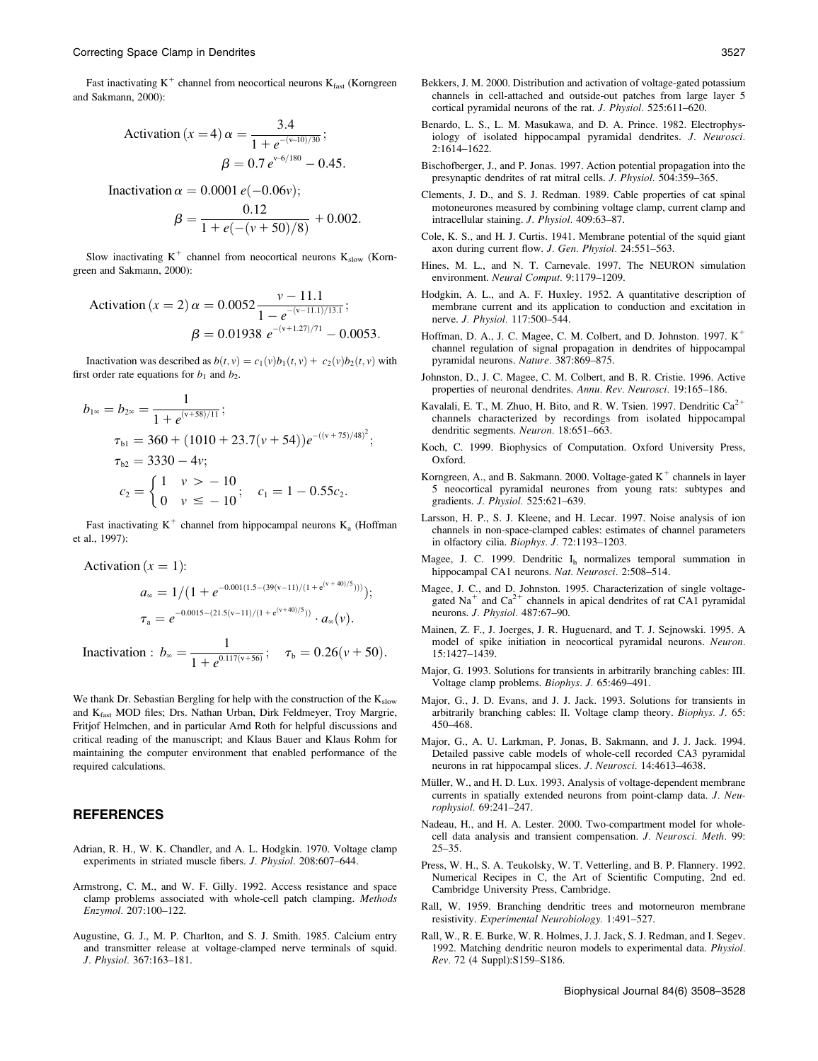Fast inactivating  $K^+$  channel from neocortical neurons  $K_{\text{fast}}$  (Korngreen and Sakmann, 2000):

Activation (x = 4) 
$$
\alpha = \frac{3.4}{1 + e^{-(v-10)/30}};
$$

\n
$$
\beta = 0.7 e^{v-6/180} - 0.45.
$$

Inactivation  $\alpha = 0.0001 e(-0.06v)$ ;

$$
\beta = \frac{0.12}{1 + e(-(v + 50)/8)} + 0.002.
$$

Slow inactivating  $K^+$  channel from neocortical neurons  $K_{slow}$  (Korngreen and Sakmann, 2000):

Action (x = 2) 
$$
\alpha = 0.0052 \frac{v - 11.1}{1 - e^{-(v - 11.1)/13.1}};
$$

\n $\beta = 0.01938 e^{-(v + 1.27)/71} - 0.0053.$ 

Inactivation was described as  $b(t, v) = c_1(v)b_1(t, v) + c_2(v)b_2(t, v)$  with first order rate equations for  $b_1$  and  $b_2$ .

$$
b_{1\infty} = b_{2\infty} = \frac{1}{1 + e^{(\nu + 58)/11}};
$$
  
\n
$$
\tau_{b1} = 360 + (1010 + 23.7(\nu + 54))e^{-((\nu + 75)/48)^2};
$$
  
\n
$$
\tau_{b2} = 3330 - 4\nu;
$$
  
\n
$$
c_2 = \begin{cases} 1 & \nu > -10 \\ 0 & \nu \le -10 \end{cases}; \quad c_1 = 1 - 0.55c_2.
$$

Fast inactivating  $K^+$  channel from hippocampal neurons  $K_a$  (Hoffman et al., 1997):

Action (x = 1):

\n
$$
a_{\infty} = 1/(1 + e^{-0.001(1.5 - (39(v-11)/(1 + e^{(v+40)/5})))});
$$
\n
$$
\tau_{\mathbf{a}} = e^{-0.0015 - (21.5(v-11)/(1 + e^{(v+40)/5}))} \cdot a_{\infty}(v).
$$
\nInactivation :

\n
$$
b_{\infty} = \frac{1}{1 + e^{0.117(v+56)}}; \quad \tau_{\mathbf{b}} = 0.26(v+50).
$$

We thank Dr. Sebastian Bergling for help with the construction of the  $K_{slow}$ and K<sub>fast</sub> MOD files; Drs. Nathan Urban, Dirk Feldmeyer, Troy Margrie, Fritjof Helmchen, and in particular Arnd Roth for helpful discussions and critical reading of the manuscript; and Klaus Bauer and Klaus Rohm for maintaining the computer environment that enabled performance of the required calculations.

## **REFERENCES**

 $A$  attention  $(x - 1)$ 

- Adrian, R. H., W. K. Chandler, and A. L. Hodgkin. 1970. Voltage clamp experiments in striated muscle fibers. J. Physiol. 208:607–644.
- Armstrong, C. M., and W. F. Gilly. 1992. Access resistance and space clamp problems associated with whole-cell patch clamping. Methods Enzymol. 207:100–122.
- Augustine, G. J., M. P. Charlton, and S. J. Smith. 1985. Calcium entry and transmitter release at voltage-clamped nerve terminals of squid. J. Physiol. 367:163–181.
- Bekkers, J. M. 2000. Distribution and activation of voltage-gated potassium channels in cell-attached and outside-out patches from large layer 5 cortical pyramidal neurons of the rat. J. Physiol. 525:611–620.
- Benardo, L. S., L. M. Masukawa, and D. A. Prince. 1982. Electrophysiology of isolated hippocampal pyramidal dendrites. J. Neurosci. 2:1614–1622.
- Bischofberger, J., and P. Jonas. 1997. Action potential propagation into the presynaptic dendrites of rat mitral cells. J. Physiol. 504:359–365.
- Clements, J. D., and S. J. Redman. 1989. Cable properties of cat spinal motoneurones measured by combining voltage clamp, current clamp and intracellular staining. J. Physiol. 409:63–87.
- Cole, K. S., and H. J. Curtis. 1941. Membrane potential of the squid giant axon during current flow. J. Gen. Physiol. 24:551–563.
- Hines, M. L., and N. T. Carnevale. 1997. The NEURON simulation environment. Neural Comput. 9:1179–1209.
- Hodgkin, A. L., and A. F. Huxley. 1952. A quantitative description of membrane current and its application to conduction and excitation in nerve. J. Physiol. 117:500–544.
- Hoffman, D. A., J. C. Magee, C. M. Colbert, and D. Johnston. 1997.  $K^+$ channel regulation of signal propagation in dendrites of hippocampal pyramidal neurons. Nature. 387:869–875.
- Johnston, D., J. C. Magee, C. M. Colbert, and B. R. Cristie. 1996. Active properties of neuronal dendrites. Annu. Rev. Neurosci. 19:165–186.
- Kavalali, E. T., M. Zhuo, H. Bito, and R. W. Tsien. 1997. Dendritic  $Ca^{2+}$ channels characterized by recordings from isolated hippocampal dendritic segments. Neuron. 18:651–663.
- Koch, C. 1999. Biophysics of Computation. Oxford University Press, Oxford.
- Korngreen, A., and B. Sakmann. 2000. Voltage-gated  $K^+$  channels in layer 5 neocortical pyramidal neurones from young rats: subtypes and gradients. J. Physiol. 525:621–639.
- Larsson, H. P., S. J. Kleene, and H. Lecar. 1997. Noise analysis of ion channels in non-space-clamped cables: estimates of channel parameters in olfactory cilia. Biophys. J. 72:1193–1203.
- Magee, J. C. 1999. Dendritic Ih normalizes temporal summation in hippocampal CA1 neurons. Nat. Neurosci. 2:508-514.
- Magee, J. C., and D. Johnston. 1995. Characterization of single voltagegated Na<sup>+</sup> and Ca<sup>2+</sup> channels in apical dendrites of rat CA1 pyramidal neurons. J. Physiol. 487:67–90.
- Mainen, Z. F., J. Joerges, J. R. Huguenard, and T. J. Sejnowski. 1995. A model of spike initiation in neocortical pyramidal neurons. Neuron. 15:1427–1439.
- Major, G. 1993. Solutions for transients in arbitrarily branching cables: III. Voltage clamp problems. Biophys. J. 65:469–491.
- Major, G., J. D. Evans, and J. J. Jack. 1993. Solutions for transients in arbitrarily branching cables: II. Voltage clamp theory. Biophys. J. 65: 450–468.
- Major, G., A. U. Larkman, P. Jonas, B. Sakmann, and J. J. Jack. 1994. Detailed passive cable models of whole-cell recorded CA3 pyramidal neurons in rat hippocampal slices. J. Neurosci. 14:4613–4638.
- Müller, W., and H. D. Lux. 1993. Analysis of voltage-dependent membrane currents in spatially extended neurons from point-clamp data. J. Neurophysiol. 69:241–247.
- Nadeau, H., and H. A. Lester. 2000. Two-compartment model for wholecell data analysis and transient compensation. J. Neurosci. Meth. 99: 25–35.
- Press, W. H., S. A. Teukolsky, W. T. Vetterling, and B. P. Flannery. 1992. Numerical Recipes in C, the Art of Scientific Computing, 2nd ed. Cambridge University Press, Cambridge.
- Rall, W. 1959. Branching dendritic trees and motorneuron membrane resistivity. Experimental Neurobiology. 1:491–527.
- Rall, W., R. E. Burke, W. R. Holmes, J. J. Jack, S. J. Redman, and I. Segev. 1992. Matching dendritic neuron models to experimental data. Physiol. Rev. 72 (4 Suppl):S159–S186.